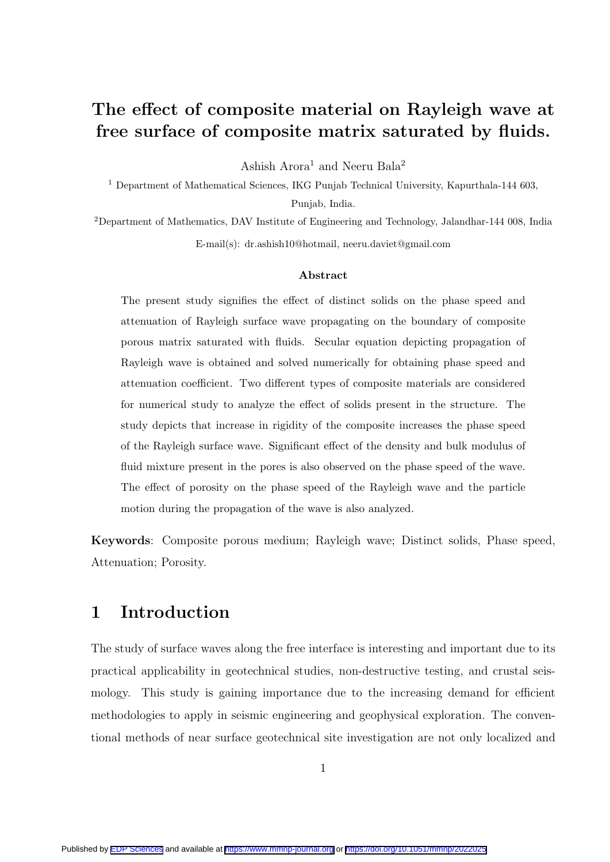# The effect of composite material on Rayleigh wave at free surface of composite matrix saturated by fluids.

Ashish Arora<sup>1</sup> and Neeru Bala<sup>2</sup>

 $^{\rm 1}$  Department of Mathematical Sciences, IKG Punjab Technical University, Kapurthala-144 603, Punjab, India.

<sup>2</sup>Department of Mathematics, DAV Institute of Engineering and Technology, Jalandhar-144 008, India E-mail(s): dr.ashish10@hotmail, neeru.daviet@gmail.com

#### Abstract

The present study signifies the effect of distinct solids on the phase speed and attenuation of Rayleigh surface wave propagating on the boundary of composite porous matrix saturated with fluids. Secular equation depicting propagation of Rayleigh wave is obtained and solved numerically for obtaining phase speed and attenuation coefficient. Two different types of composite materials are considered for numerical study to analyze the effect of solids present in the structure. The study depicts that increase in rigidity of the composite increases the phase speed of the Rayleigh surface wave. Significant effect of the density and bulk modulus of fluid mixture present in the pores is also observed on the phase speed of the wave. The effect of porosity on the phase speed of the Rayleigh wave and the particle motion during the propagation of the wave is also analyzed.

Keywords: Composite porous medium; Rayleigh wave; Distinct solids, Phase speed, Attenuation; Porosity.

### 1 Introduction

The study of surface waves along the free interface is interesting and important due to its practical applicability in geotechnical studies, non-destructive testing, and crustal seismology. This study is gaining importance due to the increasing demand for efficient methodologies to apply in seismic engineering and geophysical exploration. The conventional methods of near surface geotechnical site investigation are not only localized and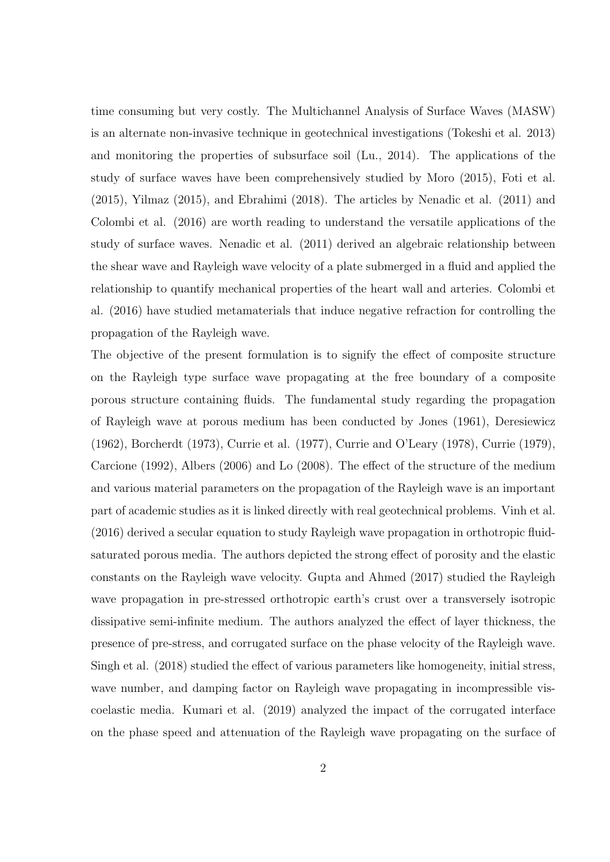time consuming but very costly. The Multichannel Analysis of Surface Waves (MASW) is an alternate non-invasive technique in geotechnical investigations (Tokeshi et al. 2013) and monitoring the properties of subsurface soil (Lu., 2014). The applications of the study of surface waves have been comprehensively studied by Moro (2015), Foti et al. (2015), Yilmaz (2015), and Ebrahimi (2018). The articles by Nenadic et al. (2011) and Colombi et al. (2016) are worth reading to understand the versatile applications of the study of surface waves. Nenadic et al. (2011) derived an algebraic relationship between the shear wave and Rayleigh wave velocity of a plate submerged in a fluid and applied the relationship to quantify mechanical properties of the heart wall and arteries. Colombi et al. (2016) have studied metamaterials that induce negative refraction for controlling the propagation of the Rayleigh wave.

The objective of the present formulation is to signify the effect of composite structure on the Rayleigh type surface wave propagating at the free boundary of a composite porous structure containing fluids. The fundamental study regarding the propagation of Rayleigh wave at porous medium has been conducted by Jones (1961), Deresiewicz (1962), Borcherdt (1973), Currie et al. (1977), Currie and O'Leary (1978), Currie (1979), Carcione (1992), Albers (2006) and Lo (2008). The effect of the structure of the medium and various material parameters on the propagation of the Rayleigh wave is an important part of academic studies as it is linked directly with real geotechnical problems. Vinh et al. (2016) derived a secular equation to study Rayleigh wave propagation in orthotropic fluidsaturated porous media. The authors depicted the strong effect of porosity and the elastic constants on the Rayleigh wave velocity. Gupta and Ahmed (2017) studied the Rayleigh wave propagation in pre-stressed orthotropic earth's crust over a transversely isotropic dissipative semi-infinite medium. The authors analyzed the effect of layer thickness, the presence of pre-stress, and corrugated surface on the phase velocity of the Rayleigh wave. Singh et al. (2018) studied the effect of various parameters like homogeneity, initial stress, wave number, and damping factor on Rayleigh wave propagating in incompressible viscoelastic media. Kumari et al. (2019) analyzed the impact of the corrugated interface on the phase speed and attenuation of the Rayleigh wave propagating on the surface of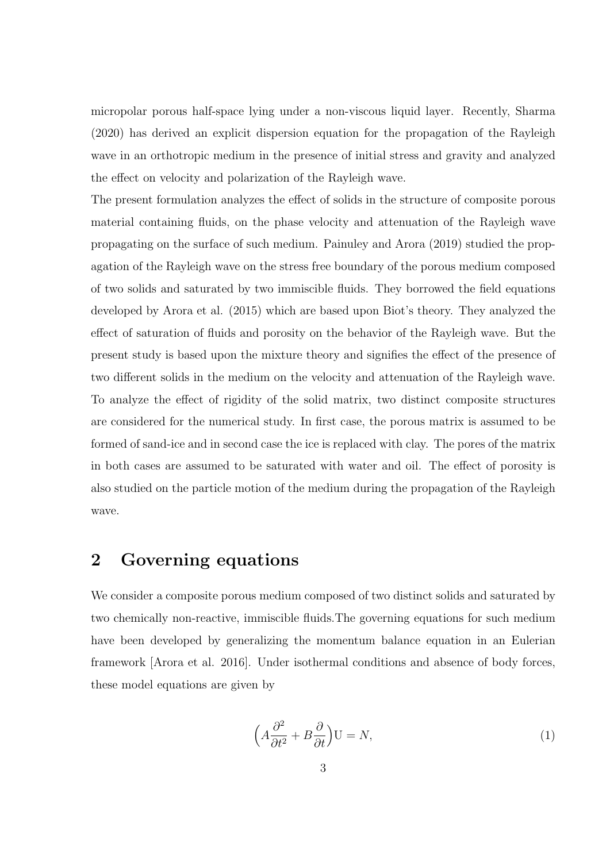micropolar porous half-space lying under a non-viscous liquid layer. Recently, Sharma (2020) has derived an explicit dispersion equation for the propagation of the Rayleigh wave in an orthotropic medium in the presence of initial stress and gravity and analyzed the effect on velocity and polarization of the Rayleigh wave.

The present formulation analyzes the effect of solids in the structure of composite porous material containing fluids, on the phase velocity and attenuation of the Rayleigh wave propagating on the surface of such medium. Painuley and Arora (2019) studied the propagation of the Rayleigh wave on the stress free boundary of the porous medium composed of two solids and saturated by two immiscible fluids. They borrowed the field equations developed by Arora et al. (2015) which are based upon Biot's theory. They analyzed the effect of saturation of fluids and porosity on the behavior of the Rayleigh wave. But the present study is based upon the mixture theory and signifies the effect of the presence of two different solids in the medium on the velocity and attenuation of the Rayleigh wave. To analyze the effect of rigidity of the solid matrix, two distinct composite structures are considered for the numerical study. In first case, the porous matrix is assumed to be formed of sand-ice and in second case the ice is replaced with clay. The pores of the matrix in both cases are assumed to be saturated with water and oil. The effect of porosity is also studied on the particle motion of the medium during the propagation of the Rayleigh wave.

### 2 Governing equations

We consider a composite porous medium composed of two distinct solids and saturated by two chemically non-reactive, immiscible fluids.The governing equations for such medium have been developed by generalizing the momentum balance equation in an Eulerian framework [Arora et al. 2016]. Under isothermal conditions and absence of body forces, these model equations are given by

$$
\left(A\frac{\partial^2}{\partial t^2} + B\frac{\partial}{\partial t}\right)U = N,\tag{1}
$$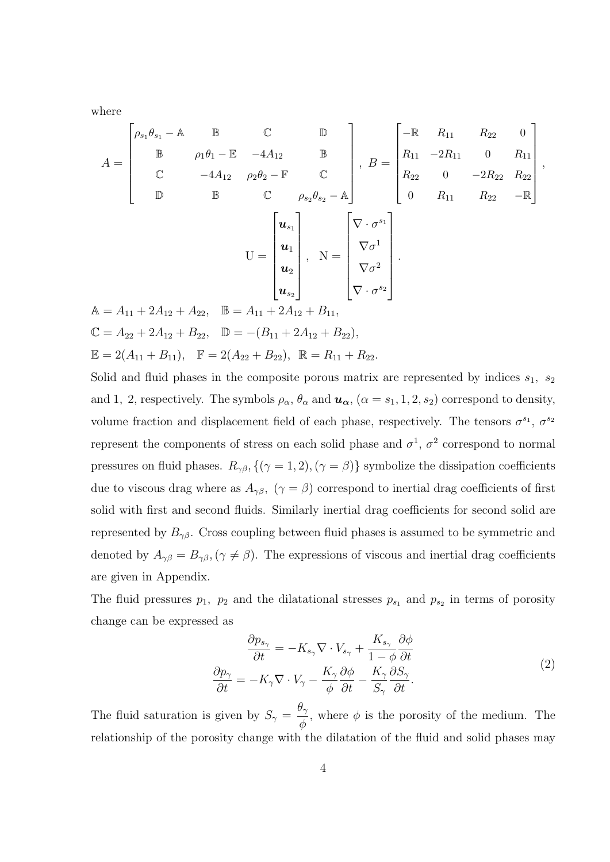where

$$
A = \begin{bmatrix} \rho_{s_1} \theta_{s_1} - A & \mathbb{B} & \mathbb{C} & \mathbb{D} \\ \mathbb{B} & \rho_1 \theta_1 - \mathbb{E} & -4A_{12} & \mathbb{B} \\ \mathbb{C} & -4A_{12} & \rho_2 \theta_2 - \mathbb{F} & \mathbb{C} \\ \mathbb{D} & \mathbb{B} & \mathbb{C} & \rho_{s_2} \theta_{s_2} - A \end{bmatrix}, B = \begin{bmatrix} -\mathbb{R} & R_{11} & R_{22} & 0 \\ R_{11} & -2R_{11} & 0 & R_{11} \\ R_{22} & 0 & -2R_{22} & R_{22} \\ 0 & R_{11} & R_{22} & -\mathbb{R} \end{bmatrix},
$$

$$
U = \begin{bmatrix} u_{s_1} \\ u_1 \\ u_2 \\ u_{s_2} \end{bmatrix}, N = \begin{bmatrix} \nabla \cdot \sigma^{s_1} \\ \nabla \sigma^1 \\ \nabla \sigma^2 \\ \nabla \cdot \sigma^{s_2} \end{bmatrix}.
$$

$$
A = A_{11} + 2A_{12} + A_{22}, B = A_{11} + 2A_{12} + B_{11},
$$

$$
\mathbb{C} = A_{22} + 2A_{12} + B_{22}, D = -(B_{11} + 2A_{12} + B_{22}),
$$

$$
\mathbb{E} = 2(A_{11} + B_{11}), \mathbb{F} = 2(A_{22} + B_{22}), \mathbb{R} = R_{11} + R_{22}.
$$

Solid and fluid phases in the composite porous matrix are represented by indices  $s_1$ ,  $s_2$ and 1, 2, respectively. The symbols  $\rho_{\alpha}$ ,  $\theta_{\alpha}$  and  $u_{\alpha}$ ,  $(\alpha = s_1, 1, 2, s_2)$  correspond to density, volume fraction and displacement field of each phase, respectively. The tensors  $\sigma^{s_1}$ ,  $\sigma^{s_2}$ represent the components of stress on each solid phase and  $\sigma^1$ ,  $\sigma^2$  correspond to normal pressures on fluid phases.  $R_{\gamma\beta}$ ,  $\{(\gamma = 1, 2), (\gamma = \beta)\}$  symbolize the dissipation coefficients due to viscous drag where as  $A_{\gamma\beta}$ ,  $(\gamma = \beta)$  correspond to inertial drag coefficients of first solid with first and second fluids. Similarly inertial drag coefficients for second solid are represented by  $B_{\gamma\beta}$ . Cross coupling between fluid phases is assumed to be symmetric and denoted by  $A_{\gamma\beta} = B_{\gamma\beta}$ ,  $(\gamma \neq \beta)$ . The expressions of viscous and inertial drag coefficients are given in Appendix.

The fluid pressures  $p_1$ ,  $p_2$  and the dilatational stresses  $p_{s_1}$  and  $p_{s_2}$  in terms of porosity change can be expressed as

$$
\frac{\partial p_{s_{\gamma}}}{\partial t} = -K_{s_{\gamma}} \nabla \cdot V_{s_{\gamma}} + \frac{K_{s_{\gamma}}}{1 - \phi} \frac{\partial \phi}{\partial t}
$$
\n
$$
\frac{\partial p_{\gamma}}{\partial t} = -K_{\gamma} \nabla \cdot V_{\gamma} - \frac{K_{\gamma}}{\phi} \frac{\partial \phi}{\partial t} - \frac{K_{\gamma}}{S_{\gamma}} \frac{\partial S_{\gamma}}{\partial t}.
$$
\n(2)

The fluid saturation is given by  $S_{\gamma} =$  $\theta_\gamma$ φ , where  $\phi$  is the porosity of the medium. The relationship of the porosity change with the dilatation of the fluid and solid phases may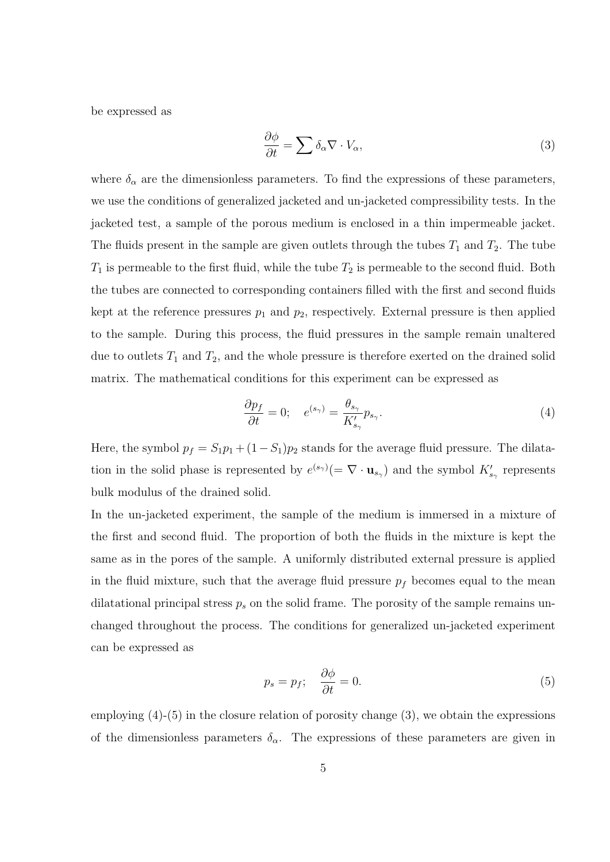be expressed as

$$
\frac{\partial \phi}{\partial t} = \sum \delta_{\alpha} \nabla \cdot V_{\alpha},\tag{3}
$$

where  $\delta_{\alpha}$  are the dimensionless parameters. To find the expressions of these parameters, we use the conditions of generalized jacketed and un-jacketed compressibility tests. In the jacketed test, a sample of the porous medium is enclosed in a thin impermeable jacket. The fluids present in the sample are given outlets through the tubes  $T_1$  and  $T_2$ . The tube  $T_1$  is permeable to the first fluid, while the tube  $T_2$  is permeable to the second fluid. Both the tubes are connected to corresponding containers filled with the first and second fluids kept at the reference pressures  $p_1$  and  $p_2$ , respectively. External pressure is then applied to the sample. During this process, the fluid pressures in the sample remain unaltered due to outlets  $T_1$  and  $T_2$ , and the whole pressure is therefore exerted on the drained solid matrix. The mathematical conditions for this experiment can be expressed as

$$
\frac{\partial p_f}{\partial t} = 0; \quad e^{(s_\gamma)} = \frac{\theta_{s_\gamma}}{K'_{s_\gamma}} p_{s_\gamma}.\tag{4}
$$

Here, the symbol  $p_f = S_1p_1 + (1-S_1)p_2$  stands for the average fluid pressure. The dilatation in the solid phase is represented by  $e^{(s_{\gamma})}(=\nabla \cdot \mathbf{u}_{s_{\gamma}})$  and the symbol  $K'_{s_{\gamma}}$  represents bulk modulus of the drained solid.

In the un-jacketed experiment, the sample of the medium is immersed in a mixture of the first and second fluid. The proportion of both the fluids in the mixture is kept the same as in the pores of the sample. A uniformly distributed external pressure is applied in the fluid mixture, such that the average fluid pressure  $p_f$  becomes equal to the mean dilatational principal stress  $p_s$  on the solid frame. The porosity of the sample remains unchanged throughout the process. The conditions for generalized un-jacketed experiment can be expressed as

$$
p_s = p_f; \quad \frac{\partial \phi}{\partial t} = 0. \tag{5}
$$

employing (4)-(5) in the closure relation of porosity change (3), we obtain the expressions of the dimensionless parameters  $\delta_{\alpha}$ . The expressions of these parameters are given in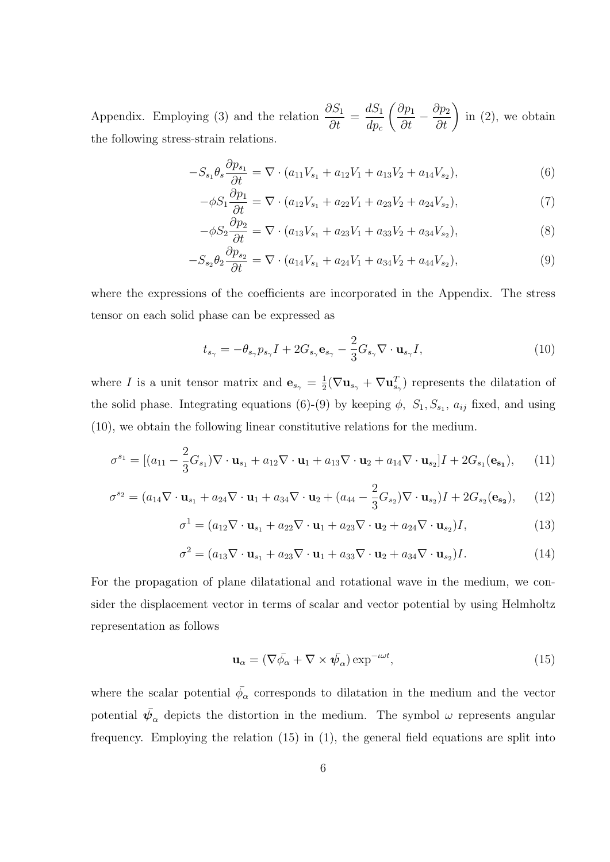Appendix. Employing (3) and the relation  $\frac{\partial S_1}{\partial \mu}$  $\frac{\partial}{\partial t} =$  $dS_1$  $dp_c$  $\left(\frac{\partial p_1}{\partial t} - \frac{\partial p_2}{\partial t}\right)$ in (2), we obtain the following stress-strain relations.

$$
-S_{s_1}\theta_s \frac{\partial p_{s_1}}{\partial t} = \nabla \cdot (a_{11}V_{s_1} + a_{12}V_1 + a_{13}V_2 + a_{14}V_{s_2}),
$$
\n(6)

$$
-\phi S_1 \frac{\partial p_1}{\partial t} = \nabla \cdot (a_{12} V_{s_1} + a_{22} V_1 + a_{23} V_2 + a_{24} V_{s_2}),\tag{7}
$$

$$
-\phi S_2 \frac{\partial p_2}{\partial t} = \nabla \cdot (a_{13} V_{s_1} + a_{23} V_1 + a_{33} V_2 + a_{34} V_{s_2}),\tag{8}
$$

$$
-S_{s_2}\theta_2 \frac{\partial p_{s_2}}{\partial t} = \nabla \cdot (a_{14}V_{s_1} + a_{24}V_1 + a_{34}V_2 + a_{44}V_{s_2}),\tag{9}
$$

where the expressions of the coefficients are incorporated in the Appendix. The stress tensor on each solid phase can be expressed as

$$
t_{s_{\gamma}} = -\theta_{s_{\gamma}} p_{s_{\gamma}} I + 2G_{s_{\gamma}} \mathbf{e}_{s_{\gamma}} - \frac{2}{3} G_{s_{\gamma}} \nabla \cdot \mathbf{u}_{s_{\gamma}} I,
$$
\n(10)

where I is a unit tensor matrix and  $\mathbf{e}_{s_{\gamma}} = \frac{1}{2}$  $\frac{1}{2}(\nabla \mathbf{u}_{s_{\gamma}} + \nabla \mathbf{u}_{s_{\gamma}}^T)$  represents the dilatation of the solid phase. Integrating equations (6)-(9) by keeping  $\phi$ ,  $S_1, S_{s_1}, a_{ij}$  fixed, and using (10), we obtain the following linear constitutive relations for the medium.

$$
\sigma^{s_1} = [(a_{11} - \frac{2}{3}G_{s_1})\nabla \cdot \mathbf{u}_{s_1} + a_{12}\nabla \cdot \mathbf{u}_1 + a_{13}\nabla \cdot \mathbf{u}_2 + a_{14}\nabla \cdot \mathbf{u}_{s_2}]I + 2G_{s_1}(\mathbf{e}_{s_1}), \quad (11)
$$

$$
\sigma^{s_2} = (a_{14}\nabla \cdot \mathbf{u}_{s_1} + a_{24}\nabla \cdot \mathbf{u}_1 + a_{34}\nabla \cdot \mathbf{u}_2 + (a_{44} - \frac{2}{3}G_{s_2})\nabla \cdot \mathbf{u}_{s_2})I + 2G_{s_2}(\mathbf{e}_{s_2}), \quad (12)
$$

$$
\sigma^1 = (a_{12}\nabla \cdot \mathbf{u}_{s_1} + a_{22}\nabla \cdot \mathbf{u}_1 + a_{23}\nabla \cdot \mathbf{u}_2 + a_{24}\nabla \cdot \mathbf{u}_{s_2})I, \qquad (13)
$$

$$
\sigma^2 = (a_{13}\nabla \cdot \mathbf{u}_{s_1} + a_{23}\nabla \cdot \mathbf{u}_1 + a_{33}\nabla \cdot \mathbf{u}_2 + a_{34}\nabla \cdot \mathbf{u}_{s_2})I. \tag{14}
$$

For the propagation of plane dilatational and rotational wave in the medium, we consider the displacement vector in terms of scalar and vector potential by using Helmholtz representation as follows

$$
\mathbf{u}_{\alpha} = (\nabla \bar{\phi_{\alpha}} + \nabla \times \bar{\psi_{\alpha}}) \exp^{-\iota \omega t}, \tag{15}
$$

where the scalar potential  $\bar{\phi}_{\alpha}$  corresponds to dilatation in the medium and the vector potential  $\bar{\psi}_{\alpha}$  depicts the distortion in the medium. The symbol  $\omega$  represents angular frequency. Employing the relation (15) in (1), the general field equations are split into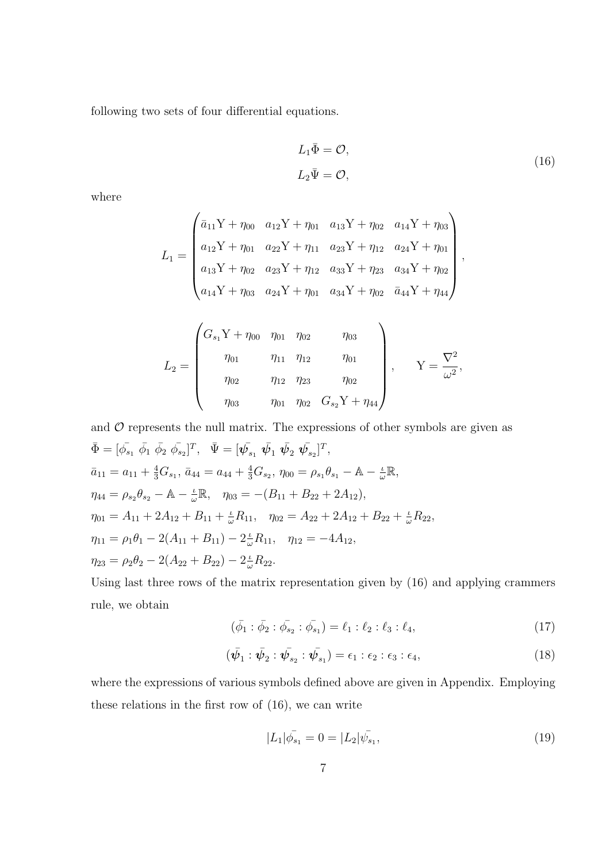following two sets of four differential equations.

$$
L_1 \overline{\Phi} = \mathcal{O},
$$
  
\n
$$
L_2 \overline{\Psi} = \mathcal{O},
$$
\n(16)

where

$$
L_1 = \begin{pmatrix} \bar{a}_{11}Y + \eta_{00} & a_{12}Y + \eta_{01} & a_{13}Y + \eta_{02} & a_{14}Y + \eta_{03} \\ a_{12}Y + \eta_{01} & a_{22}Y + \eta_{11} & a_{23}Y + \eta_{12} & a_{24}Y + \eta_{01} \\ a_{13}Y + \eta_{02} & a_{23}Y + \eta_{12} & a_{33}Y + \eta_{23} & a_{34}Y + \eta_{02} \\ a_{14}Y + \eta_{03} & a_{24}Y + \eta_{01} & a_{34}Y + \eta_{02} & \bar{a}_{44}Y + \eta_{44} \end{pmatrix},
$$

$$
L_2 = \begin{pmatrix} G_{s_1}Y + \eta_{00} & \eta_{01} & \eta_{02} & \eta_{03} \\ \eta_{01} & \eta_{11} & \eta_{12} & \eta_{01} \\ \eta_{02} & \eta_{12} & \eta_{23} & \eta_{02} \\ \eta_{03} & \eta_{01} & \eta_{02} & G_{s_2}Y + \eta_{44} \end{pmatrix}, \qquad Y = \frac{\nabla^2}{\omega^2},
$$

and *O* represents the null matrix. The expressions of other symbols are given as  
\n
$$
\bar{\Phi} = [\bar{\phi}_{s_1} \ \bar{\phi}_1 \ \bar{\phi}_2 \ \bar{\phi}_{s_2}]^T, \quad \bar{\Psi} = [\bar{\psi}_{s_1} \ \bar{\psi}_1 \ \bar{\psi}_2 \ \bar{\psi}_{s_2}]^T,
$$
\n
$$
\bar{a}_{11} = a_{11} + \frac{4}{3} G_{s_1}, \quad \bar{a}_{44} = a_{44} + \frac{4}{3} G_{s_2}, \quad \eta_{00} = \rho_{s_1} \theta_{s_1} - \mathbb{A} - \frac{\iota}{\omega} \mathbb{R},
$$
\n
$$
\eta_{44} = \rho_{s_2} \theta_{s_2} - \mathbb{A} - \frac{\iota}{\omega} \mathbb{R}, \quad \eta_{03} = -(B_{11} + B_{22} + 2A_{12}),
$$
\n
$$
\eta_{01} = A_{11} + 2A_{12} + B_{11} + \frac{\iota}{\omega} R_{11}, \quad \eta_{02} = A_{22} + 2A_{12} + B_{22} + \frac{\iota}{\omega} R_{22},
$$
\n
$$
\eta_{11} = \rho_1 \theta_1 - 2(A_{11} + B_{11}) - 2\frac{\iota}{\omega} R_{11}, \quad \eta_{12} = -4A_{12},
$$
\n
$$
\eta_{23} = \rho_2 \theta_2 - 2(A_{22} + B_{22}) - 2\frac{\iota}{\omega} R_{22}.
$$

Using last three rows of the matrix representation given by (16) and applying crammers rule, we obtain

$$
(\bar{\phi}_1 : \bar{\phi}_2 : \bar{\phi}_{s_2} : \bar{\phi}_{s_1}) = \ell_1 : \ell_2 : \ell_3 : \ell_4,\tag{17}
$$

$$
(\bar{\psi}_1 : \bar{\psi}_2 : \bar{\psi}_{s_2} : \bar{\psi}_{s_1}) = \epsilon_1 : \epsilon_2 : \epsilon_3 : \epsilon_4,
$$
\n(18)

where the expressions of various symbols defined above are given in Appendix. Employing these relations in the first row of (16), we can write

$$
|L_1|\bar{\phi}_{s_1} = 0 = |L_2|\bar{\psi}_{s_1},\tag{19}
$$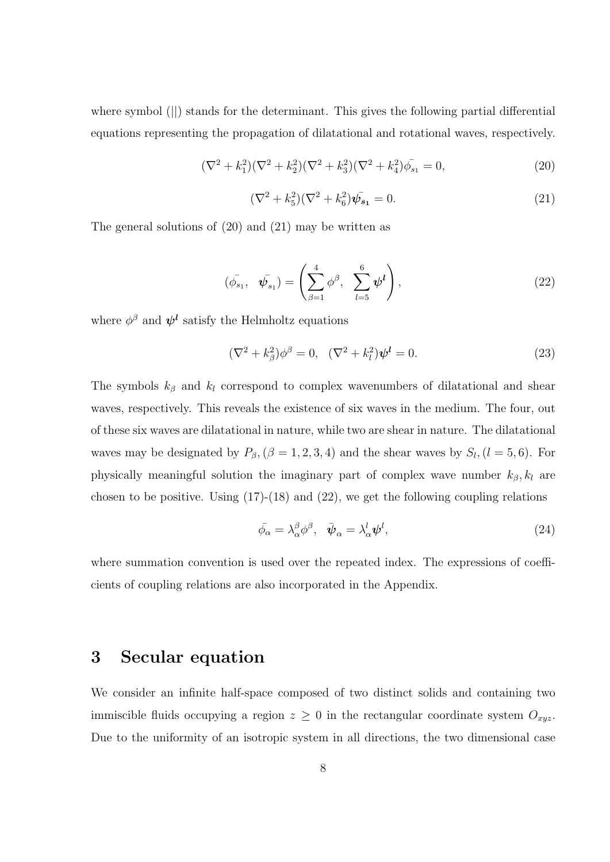where symbol (||) stands for the determinant. This gives the following partial differential equations representing the propagation of dilatational and rotational waves, respectively.

$$
(\nabla^2 + k_1^2)(\nabla^2 + k_2^2)(\nabla^2 + k_3^2)(\nabla^2 + k_4^2)\bar{\phi}_{s_1} = 0,
$$
\n(20)

$$
(\nabla^2 + k_5^2)(\nabla^2 + k_6^2)\overline{\psi}_{s_1} = 0.
$$
\n(21)

The general solutions of (20) and (21) may be written as

$$
(\bar{\phi}_{s_1}, \ \ \bar{\psi}_{s_1}) = \left(\sum_{\beta=1}^4 \phi^{\beta}, \ \ \sum_{l=5}^6 \psi^l\right), \tag{22}
$$

where  $\phi^{\beta}$  and  $\psi^{l}$  satisfy the Helmholtz equations

$$
(\nabla^2 + k_\beta^2)\phi^\beta = 0, \quad (\nabla^2 + k_l^2)\psi^l = 0.
$$
 (23)

The symbols  $k_{\beta}$  and  $k_l$  correspond to complex wavenumbers of dilatational and shear waves, respectively. This reveals the existence of six waves in the medium. The four, out of these six waves are dilatational in nature, while two are shear in nature. The dilatational waves may be designated by  $P_{\beta}$ ,  $(\beta = 1, 2, 3, 4)$  and the shear waves by  $S_l$ ,  $(l = 5, 6)$ . For physically meaningful solution the imaginary part of complex wave number  $k_{\beta}$ ,  $k_l$  are chosen to be positive. Using  $(17)-(18)$  and  $(22)$ , we get the following coupling relations

$$
\bar{\phi}_{\alpha} = \lambda_{\alpha}^{\beta} \phi^{\beta}, \quad \bar{\psi}_{\alpha} = \lambda_{\alpha}^{l} \psi^{l}, \tag{24}
$$

where summation convention is used over the repeated index. The expressions of coefficients of coupling relations are also incorporated in the Appendix.

### 3 Secular equation

We consider an infinite half-space composed of two distinct solids and containing two immiscible fluids occupying a region  $z \geq 0$  in the rectangular coordinate system  $O_{xyz}$ . Due to the uniformity of an isotropic system in all directions, the two dimensional case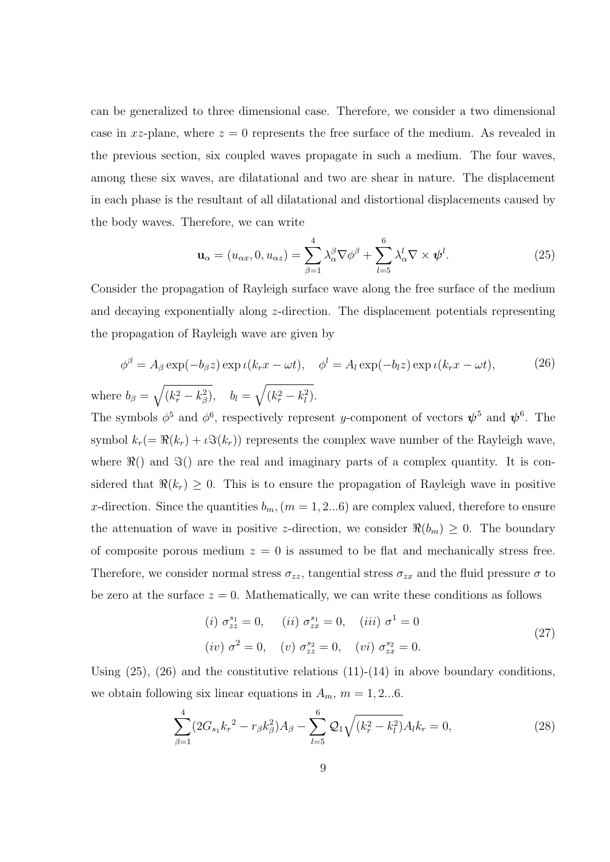can be generalized to three dimensional case. Therefore, we consider a two dimensional case in xz-plane, where  $z = 0$  represents the free surface of the medium. As revealed in the previous section, six coupled waves propagate in such a medium. The four waves, among these six waves, are dilatational and two are shear in nature. The displacement in each phase is the resultant of all dilatational and distortional displacements caused by the body waves. Therefore, we can write

$$
\mathbf{u}_{\alpha} = (u_{\alpha x}, 0, u_{\alpha z}) = \sum_{\beta=1}^{4} \lambda_{\alpha}^{\beta} \nabla \phi^{\beta} + \sum_{l=5}^{6} \lambda_{\alpha}^{l} \nabla \times \boldsymbol{\psi}^{l}.
$$
 (25)

Consider the propagation of Rayleigh surface wave along the free surface of the medium and decaying exponentially along z-direction. The displacement potentials representing the propagation of Rayleigh wave are given by

$$
\phi^{\beta} = A_{\beta} \exp(-b_{\beta}z) \exp \iota(k_r x - \omega t), \quad \phi^l = A_l \exp(-b_l z) \exp \iota(k_r x - \omega t), \tag{26}
$$

where  $b_{\beta} = \sqrt{(k_r^2 - k_{\beta}^2)}, \quad b_l = \sqrt{(k_r^2 - k_l^2)}.$ 

The symbols  $\phi^5$  and  $\phi^6$ , respectively represent y-component of vectors  $\psi^5$  and  $\psi^6$ . The symbol  $k_r (= \Re(k_r) + \iota \Im(k_r))$  represents the complex wave number of the Rayleigh wave, where  $\Re$ () and  $\Im$ () are the real and imaginary parts of a complex quantity. It is considered that  $\Re(k_r) \geq 0$ . This is to ensure the propagation of Rayleigh wave in positive x-direction. Since the quantities  $b_m$ ,  $(m = 1, 2...6)$  are complex valued, therefore to ensure the attenuation of wave in positive z-direction, we consider  $\Re(b_m) \geq 0$ . The boundary of composite porous medium  $z = 0$  is assumed to be flat and mechanically stress free. Therefore, we consider normal stress  $\sigma_{zz}$ , tangential stress  $\sigma_{zx}$  and the fluid pressure  $\sigma$  to be zero at the surface  $z = 0$ . Mathematically, we can write these conditions as follows

$$
(i) \ \sigma_{zz}^{s_1} = 0, \quad (ii) \ \sigma_{zx}^{s_1} = 0, \quad (iii) \ \sigma^1 = 0
$$
  

$$
(iv) \ \sigma^2 = 0, \quad (v) \ \sigma_{zz}^{s_2} = 0, \quad (vi) \ \sigma_{zx}^{s_2} = 0.
$$
 (27)

Using  $(25)$ ,  $(26)$  and the constitutive relations  $(11)-(14)$  in above boundary conditions, we obtain following six linear equations in  $A_m$ ,  $m = 1, 2...6$ .

$$
\sum_{\beta=1}^{4} (2G_{s_1}k_r^2 - r_\beta k_\beta^2)A_\beta - \sum_{l=5}^{6} \mathcal{Q}_1 \sqrt{(k_r^2 - k_l^2)}A_l k_r = 0,
$$
\n(28)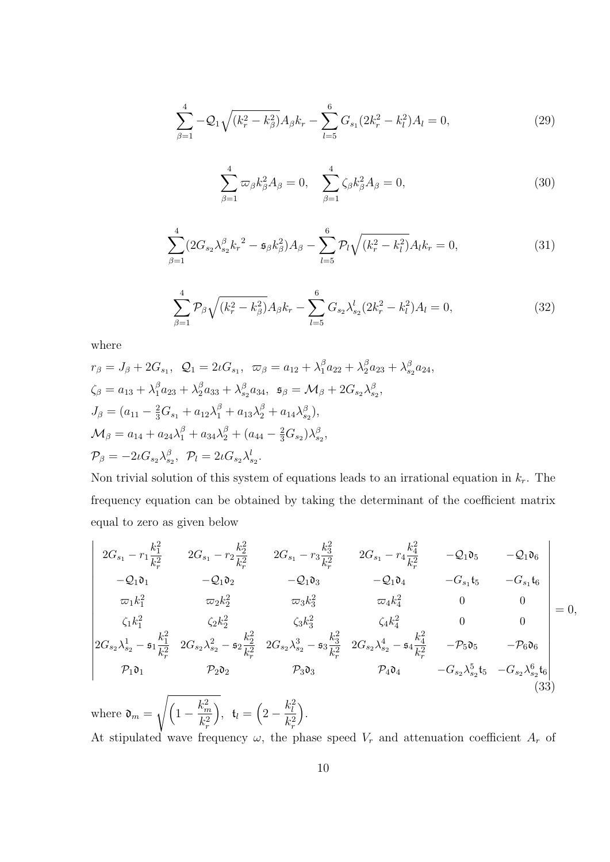$$
\sum_{\beta=1}^{4} -\mathcal{Q}_1 \sqrt{(k_r^2 - k_\beta^2)} A_\beta k_r - \sum_{l=5}^{6} G_{s_1} (2k_r^2 - k_l^2) A_l = 0, \tag{29}
$$

$$
\sum_{\beta=1}^{4} \varpi_{\beta} k_{\beta}^{2} A_{\beta} = 0, \quad \sum_{\beta=1}^{4} \zeta_{\beta} k_{\beta}^{2} A_{\beta} = 0, \tag{30}
$$

$$
\sum_{\beta=1}^{4} (2G_{s_2} \lambda_{s_2}^{\beta} k_r^2 - \mathfrak{s}_{\beta} k_{\beta}^2) A_{\beta} - \sum_{l=5}^{6} \mathcal{P}_l \sqrt{(k_r^2 - k_l^2)} A_l k_r = 0,
$$
\n(31)

$$
\sum_{\beta=1}^{4} \mathcal{P}_{\beta} \sqrt{(k_r^2 - k_\beta^2)} A_{\beta} k_r - \sum_{l=5}^{6} G_{s_2} \lambda_{s_2}^l (2k_r^2 - k_l^2) A_l = 0,
$$
\n(32)

where

$$
r_{\beta} = J_{\beta} + 2G_{s_1}, \quad Q_1 = 2\iota G_{s_1}, \quad \varpi_{\beta} = a_{12} + \lambda_1^{\beta} a_{22} + \lambda_2^{\beta} a_{23} + \lambda_{s_2}^{\beta} a_{24},
$$
  
\n
$$
\zeta_{\beta} = a_{13} + \lambda_1^{\beta} a_{23} + \lambda_2^{\beta} a_{33} + \lambda_{s_2}^{\beta} a_{34}, \quad \mathfrak{s}_{\beta} = \mathcal{M}_{\beta} + 2G_{s_2} \lambda_{s_2}^{\beta},
$$
  
\n
$$
J_{\beta} = (a_{11} - \frac{2}{3}G_{s_1} + a_{12}\lambda_1^{\beta} + a_{13}\lambda_2^{\beta} + a_{14}\lambda_{s_2}^{\beta}),
$$
  
\n
$$
\mathcal{M}_{\beta} = a_{14} + a_{24}\lambda_1^{\beta} + a_{34}\lambda_2^{\beta} + (a_{44} - \frac{2}{3}G_{s_2})\lambda_{s_2}^{\beta},
$$
  
\n
$$
\mathcal{P}_{\beta} = -2\iota G_{s_2}\lambda_{s_2}^{\beta}, \quad \mathcal{P}_{l} = 2\iota G_{s_2}\lambda_{s_2}^{l}.
$$

Non trivial solution of this system of equations leads to an irrational equation in  $k_r$ . The frequency equation can be obtained by taking the determinant of the coefficient matrix equal to zero as given below

$$
\begin{vmatrix}\n2G_{s_1} - r_1 \frac{k_1^2}{k_r^2} & 2G_{s_1} - r_2 \frac{k_2^2}{k_r^2} & 2G_{s_1} - r_3 \frac{k_3^2}{k_r^2} & 2G_{s_1} - r_4 \frac{k_4^2}{k_r^2} & -Q_1 \mathfrak{d}_5 & -Q_1 \mathfrak{d}_6 \\
-Q_1 \mathfrak{d}_1 & -Q_1 \mathfrak{d}_2 & -Q_1 \mathfrak{d}_3 & -Q_1 \mathfrak{d}_4 & -G_{s_1} \mathfrak{t}_5 & -G_{s_1} \mathfrak{t}_6 \\
\varpi_1 k_1^2 & \varpi_2 k_2^2 & \varpi_3 k_3^2 & \varpi_4 k_4^2 & 0 & 0 \\
\zeta_1 k_1^2 & \zeta_2 k_2^2 & \zeta_3 k_3^2 & \zeta_4 k_4^2 & 0 & 0 \\
2G_{s_2} \lambda_{s_2}^1 - \mathfrak{s}_1 \frac{k_1^2}{k_r^2} & 2G_{s_2} \lambda_{s_2}^2 - \mathfrak{s}_2 \frac{k_2^2}{k_r^2} & 2G_{s_2} \lambda_{s_2}^3 - \mathfrak{s}_3 \frac{k_3^2}{k_r^2} & 2G_{s_2} \lambda_{s_2}^4 - \mathfrak{s}_4 \frac{k_4^2}{k_r^2} & -\mathcal{P}_5 \mathfrak{d}_5 & -\mathcal{P}_6 \mathfrak{d}_6 \\
\mathcal{P}_1 \mathfrak{d}_1 & \mathcal{P}_2 \mathfrak{d}_2 & \mathcal{P}_3 \mathfrak{d}_3 & \mathcal{P}_4 \mathfrak{d}_4 & -G_{s_2} \lambda_{s_2}^5 \mathfrak{t}_5 & -G_{s_2} \lambda_{s_2}^6 \mathfrak{t}_6\n\end{vmatrix} = 0,
$$
\n(33)

where  $\mathfrak{d}_m = \sqrt{\left(1 - \frac{k_m^2}{l^2}\right)}$  $k_r^2$ ),  $t_l = \left(2 - \frac{k_l^2}{l^2}\right)$  $k_r^2$  . At stipulated wave frequency  $\omega$ , the phase speed  $V_r$  and attenuation coefficient  $A_r$  of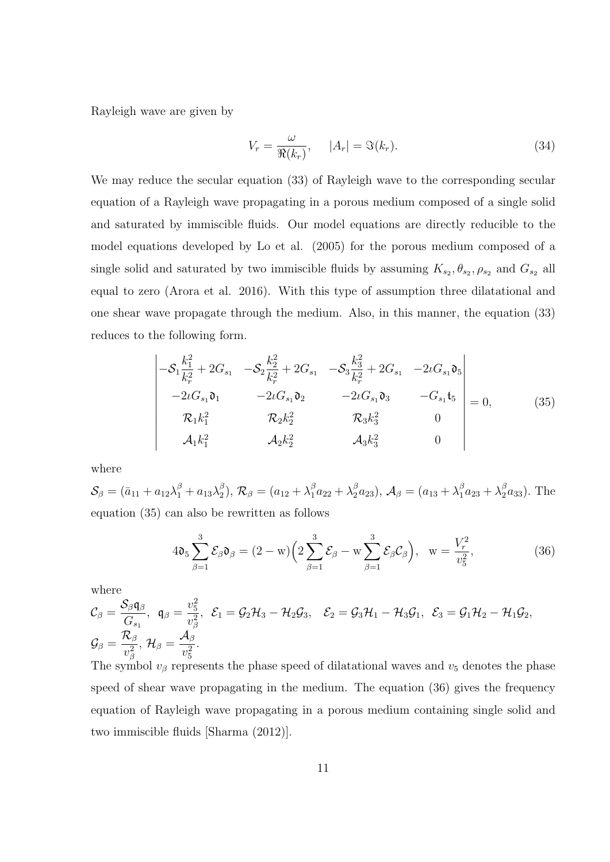Rayleigh wave are given by

$$
V_r = \frac{\omega}{\Re(k_r)}, \qquad |A_r| = \Im(k_r). \tag{34}
$$

We may reduce the secular equation (33) of Rayleigh wave to the corresponding secular equation of a Rayleigh wave propagating in a porous medium composed of a single solid and saturated by immiscible fluids. Our model equations are directly reducible to the model equations developed by Lo et al. (2005) for the porous medium composed of a single solid and saturated by two immiscible fluids by assuming  $K_{s_2}, \theta_{s_2}, \rho_{s_2}$  and  $G_{s_2}$  all equal to zero (Arora et al. 2016). With this type of assumption three dilatational and one shear wave propagate through the medium. Also, in this manner, the equation (33) reduces to the following form.

$$
\begin{vmatrix}\n-S_1 \frac{k_1^2}{k_r^2} + 2G_{s_1} & -S_2 \frac{k_2^2}{k_r^2} + 2G_{s_1} & -S_3 \frac{k_3^2}{k_r^2} + 2G_{s_1} & -2\iota G_{s_1} \mathfrak{d}_5 \\
-2\iota G_{s_1} \mathfrak{d}_1 & -2\iota G_{s_1} \mathfrak{d}_2 & -2\iota G_{s_1} \mathfrak{d}_3 & -G_{s_1} \mathfrak{t}_5 \\
\mathcal{R}_1 k_1^2 & \mathcal{R}_2 k_2^2 & \mathcal{R}_3 k_3^2 & 0 \\
\mathcal{A}_1 k_1^2 & \mathcal{A}_2 k_2^2 & \mathcal{A}_3 k_3^2 & 0\n\end{vmatrix} = 0,
$$
\n(35)

where

 $\mathcal{S}_\beta = (\bar{a}_{11} + a_{12}\lambda_1^\beta + a_{13}\lambda_2^\beta$ <sup>β</sup><sub>2</sub>),  $\mathcal{R}_{\beta} = (a_{12} + \lambda_1^{\beta} a_{22} + \lambda_2^{\beta} a_{23}), \mathcal{A}_{\beta} = (a_{13} + \lambda_1^{\beta} a_{23} + \lambda_2^{\beta} a_{33}).$  The equation (35) can also be rewritten as follows

$$
4\mathfrak{d}_5 \sum_{\beta=1}^3 \mathcal{E}_\beta \mathfrak{d}_\beta = (2 - w) \left( 2 \sum_{\beta=1}^3 \mathcal{E}_\beta - w \sum_{\beta=1}^3 \mathcal{E}_\beta \mathcal{C}_\beta \right), \quad w = \frac{V_r^2}{v_5^2},\tag{36}
$$

where

$$
\mathcal{C}_{\beta} = \frac{\mathcal{S}_{\beta} \mathfrak{q}_{\beta}}{G_{s_1}}, \ \ \mathfrak{q}_{\beta} = \frac{v_5^2}{v_{\beta}^2}, \ \ \mathcal{E}_{1} = \mathcal{G}_{2} \mathcal{H}_{3} - \mathcal{H}_{2} \mathcal{G}_{3}, \quad \mathcal{E}_{2} = \mathcal{G}_{3} \mathcal{H}_{1} - \mathcal{H}_{3} \mathcal{G}_{1}, \ \ \mathcal{E}_{3} = \mathcal{G}_{1} \mathcal{H}_{2} - \mathcal{H}_{1} \mathcal{G}_{2},
$$
\n
$$
\mathcal{G}_{\beta} = \frac{\mathcal{R}_{\beta}}{v_{\beta}^2}, \ \mathcal{H}_{\beta} = \frac{\mathcal{A}_{\beta}}{v_{5}^2}.
$$

The symbol  $v_\beta$  represents the phase speed of dilatational waves and  $v_5$  denotes the phase speed of shear wave propagating in the medium. The equation (36) gives the frequency equation of Rayleigh wave propagating in a porous medium containing single solid and two immiscible fluids [Sharma (2012)].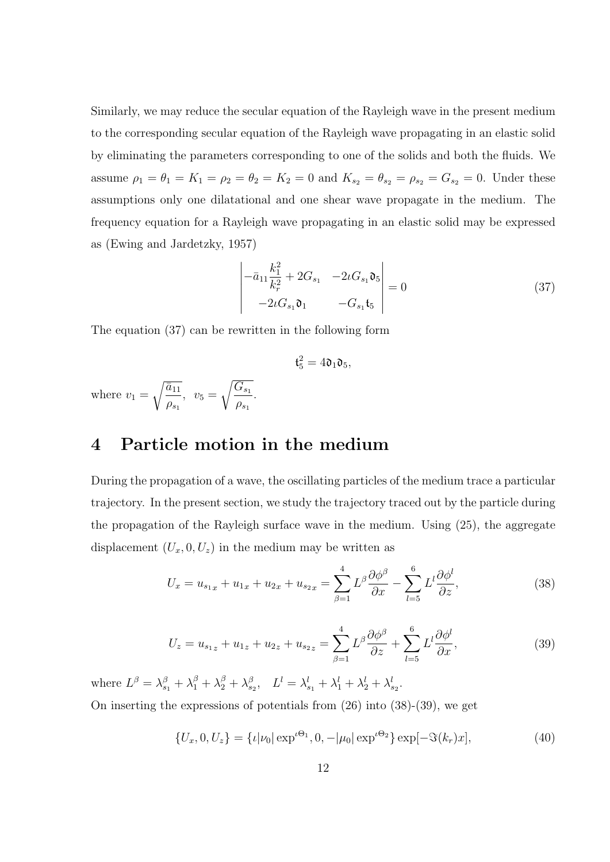Similarly, we may reduce the secular equation of the Rayleigh wave in the present medium to the corresponding secular equation of the Rayleigh wave propagating in an elastic solid by eliminating the parameters corresponding to one of the solids and both the fluids. We assume  $\rho_1 = \theta_1 = K_1 = \rho_2 = \theta_2 = K_2 = 0$  and  $K_{s_2} = \theta_{s_2} = \rho_{s_2} = G_{s_2} = 0$ . Under these assumptions only one dilatational and one shear wave propagate in the medium. The frequency equation for a Rayleigh wave propagating in an elastic solid may be expressed as (Ewing and Jardetzky, 1957)

$$
\begin{vmatrix} -\bar{a}_{11} \frac{k_1^2}{k_r^2} + 2G_{s_1} & -2\iota G_{s_1} \mathfrak{d}_5 \\ -2\iota G_{s_1} \mathfrak{d}_1 & -G_{s_1} \mathfrak{t}_5 \end{vmatrix} = 0
$$
 (37)

The equation (37) can be rewritten in the following form

$$
\mathfrak{t}_5^2=4\mathfrak{d}_1\mathfrak{d}_5,
$$

where  $v_1 =$  $\sqrt{\bar{a}_{11}}$  $\rho_{s_1}$  $v_5 = \sqrt{\frac{G_{s_1}}{a}}$  $\rho_{s_1}$ .

### 4 Particle motion in the medium

During the propagation of a wave, the oscillating particles of the medium trace a particular trajectory. In the present section, we study the trajectory traced out by the particle during the propagation of the Rayleigh surface wave in the medium. Using (25), the aggregate displacement  $(U_x, 0, U_z)$  in the medium may be written as

$$
U_x = u_{s_{1x}} + u_{1x} + u_{2x} + u_{s_{2x}} = \sum_{\beta=1}^{4} L^{\beta} \frac{\partial \phi^{\beta}}{\partial x} - \sum_{l=5}^{6} L^{\prime} \frac{\partial \phi^l}{\partial z},
$$
(38)

$$
U_z = u_{s_{1z}} + u_{1z} + u_{2z} + u_{s_{2z}} = \sum_{\beta=1}^{4} L^{\beta} \frac{\partial \phi^{\beta}}{\partial z} + \sum_{l=5}^{6} L^l \frac{\partial \phi^l}{\partial x},
$$
(39)

where  $L^{\beta} = \lambda_{s_1}^{\beta} + \lambda_1^{\beta} + \lambda_2^{\beta} + \lambda_{s_2}^{\beta}$ ,  $L^{l} = \lambda_{s_1}^{l} + \lambda_1^{l} + \lambda_2^{l} + \lambda_{s_2}^{l}$ . On inserting the expressions of potentials from (26) into (38)-(39), we get

$$
\{U_x, 0, U_z\} = \{\iota | \nu_0| \exp^{\iota \Theta_1}, 0, -|\mu_0| \exp^{\iota \Theta_2}\} \exp[-\Im(k_r)x],\tag{40}
$$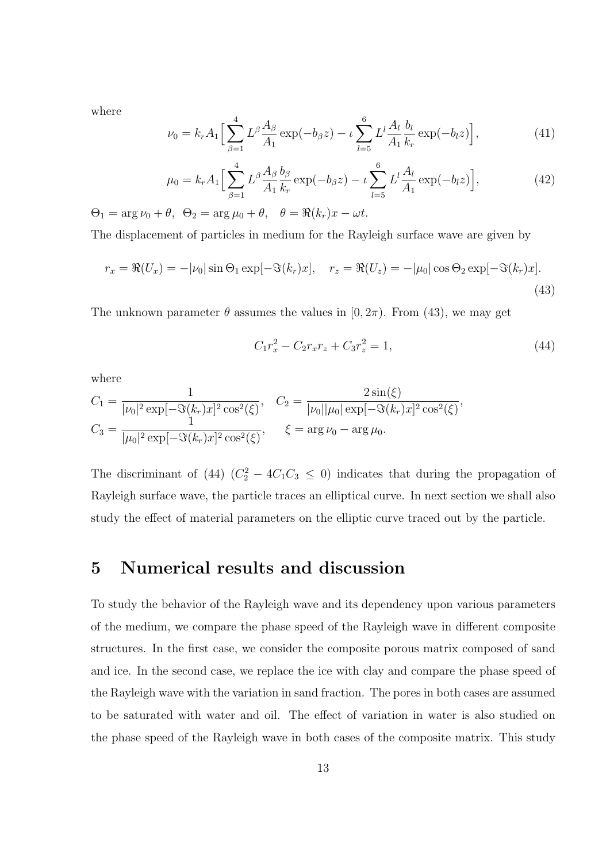where

$$
\nu_0 = k_r A_1 \Big[ \sum_{\beta=1}^4 L^{\beta} \frac{A_{\beta}}{A_1} \exp(-b_{\beta} z) - \iota \sum_{l=5}^6 L^l \frac{A_l}{A_1} \frac{b_l}{k_r} \exp(-b_l z) \Big], \tag{41}
$$

$$
\mu_0 = k_r A_1 \Big[ \sum_{\beta=1}^4 L^\beta \frac{A_\beta}{A_1} \frac{b_\beta}{k_r} \exp(-b_\beta z) - \iota \sum_{l=5}^6 L^l \frac{A_l}{A_1} \exp(-b_l z) \Big],\tag{42}
$$

 $\Theta_1 = \arg \nu_0 + \theta$ ,  $\Theta_2 = \arg \mu_0 + \theta$ ,  $\theta = \Re(k_r)x - \omega t$ .

The displacement of particles in medium for the Rayleigh surface wave are given by

$$
r_x = \Re(U_x) = -|\nu_0| \sin \Theta_1 \exp[-\Im(k_r)x], \quad r_z = \Re(U_z) = -|\mu_0| \cos \Theta_2 \exp[-\Im(k_r)x].
$$
\n(43)

The unknown parameter  $\theta$  assumes the values in  $[0, 2\pi)$ . From (43), we may get

$$
C_1 r_x^2 - C_2 r_x r_z + C_3 r_z^2 = 1,
$$
\n(44)

where

$$
C_1 = \frac{1}{|\nu_0|^2 \exp[-\Im(k_r)x]^2 \cos^2(\xi)}, \quad C_2 = \frac{2\sin(\xi)}{|\nu_0||\mu_0|\exp[-\Im(k_r)x]^2 \cos^2(\xi)},
$$
  

$$
C_3 = \frac{1}{|\mu_0|^2 \exp[-\Im(k_r)x]^2 \cos^2(\xi)}, \quad \xi = \arg \nu_0 - \arg \mu_0.
$$

The discriminant of (44)  $(C_2^2 - 4C_1C_3 \leq 0)$  indicates that during the propagation of Rayleigh surface wave, the particle traces an elliptical curve. In next section we shall also study the effect of material parameters on the elliptic curve traced out by the particle.

### 5 Numerical results and discussion

To study the behavior of the Rayleigh wave and its dependency upon various parameters of the medium, we compare the phase speed of the Rayleigh wave in different composite structures. In the first case, we consider the composite porous matrix composed of sand and ice. In the second case, we replace the ice with clay and compare the phase speed of the Rayleigh wave with the variation in sand fraction. The pores in both cases are assumed to be saturated with water and oil. The effect of variation in water is also studied on the phase speed of the Rayleigh wave in both cases of the composite matrix. This study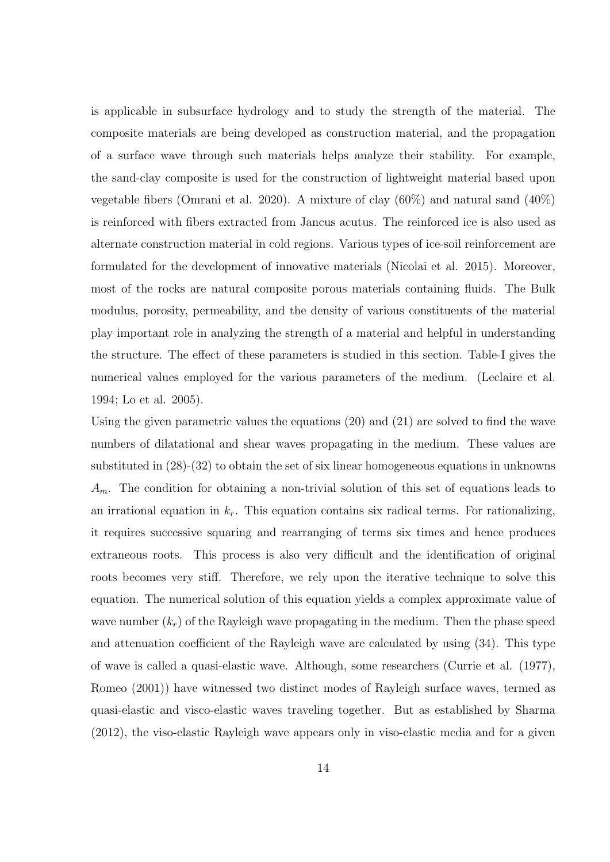is applicable in subsurface hydrology and to study the strength of the material. The composite materials are being developed as construction material, and the propagation of a surface wave through such materials helps analyze their stability. For example, the sand-clay composite is used for the construction of lightweight material based upon vegetable fibers (Omrani et al. 2020). A mixture of clay (60%) and natural sand (40%) is reinforced with fibers extracted from Jancus acutus. The reinforced ice is also used as alternate construction material in cold regions. Various types of ice-soil reinforcement are formulated for the development of innovative materials (Nicolai et al. 2015). Moreover, most of the rocks are natural composite porous materials containing fluids. The Bulk modulus, porosity, permeability, and the density of various constituents of the material play important role in analyzing the strength of a material and helpful in understanding the structure. The effect of these parameters is studied in this section. Table-I gives the numerical values employed for the various parameters of the medium. (Leclaire et al. 1994; Lo et al. 2005).

Using the given parametric values the equations (20) and (21) are solved to find the wave numbers of dilatational and shear waves propagating in the medium. These values are substituted in (28)-(32) to obtain the set of six linear homogeneous equations in unknowns  $A_m$ . The condition for obtaining a non-trivial solution of this set of equations leads to an irrational equation in  $k_r$ . This equation contains six radical terms. For rationalizing, it requires successive squaring and rearranging of terms six times and hence produces extraneous roots. This process is also very difficult and the identification of original roots becomes very stiff. Therefore, we rely upon the iterative technique to solve this equation. The numerical solution of this equation yields a complex approximate value of wave number  $(k_r)$  of the Rayleigh wave propagating in the medium. Then the phase speed and attenuation coefficient of the Rayleigh wave are calculated by using (34). This type of wave is called a quasi-elastic wave. Although, some researchers (Currie et al. (1977), Romeo (2001)) have witnessed two distinct modes of Rayleigh surface waves, termed as quasi-elastic and visco-elastic waves traveling together. But as established by Sharma (2012), the viso-elastic Rayleigh wave appears only in viso-elastic media and for a given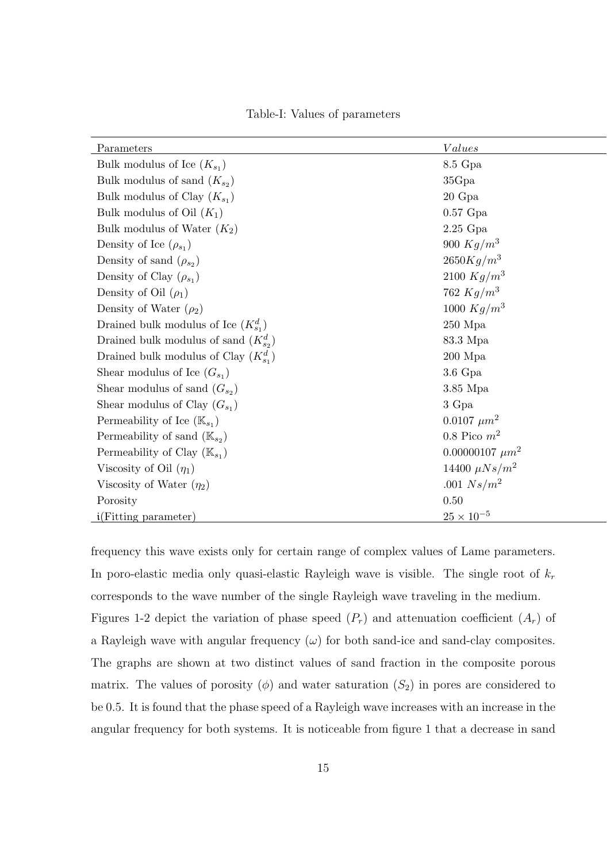|  |  |  | Table-I: Values of parameters |
|--|--|--|-------------------------------|
|--|--|--|-------------------------------|

| Parameters                                 | <i>Values</i>          |
|--------------------------------------------|------------------------|
| Bulk modulus of Ice $(K_{s_1})$            | 8.5 Gpa                |
| Bulk modulus of sand $(K_{s_2})$           | 35Gpa                  |
| Bulk modulus of Clay $(K_{s_1})$           | $20 \text{ Gpa}$       |
| Bulk modulus of Oil $(K_1)$                | $0.57$ Gpa             |
| Bulk modulus of Water $(K_2)$              | $2.25$ Gpa             |
| Density of Ice $(\rho_{s_1})$              | 900 $Kg/m^3$           |
| Density of sand $(\rho_{s_2})$             | $2650Kg/m^3$           |
| Density of Clay $(\rho_{s_1})$             | 2100 $Kg/m^3$          |
| Density of Oil $(\rho_1)$                  | 762 $Kg/m^3$           |
| Density of Water $(\rho_2)$                | 1000 $Kg/m^3$          |
| Drained bulk modulus of Ice $(K_{s_1}^d)$  | $250$ Mpa              |
| Drained bulk modulus of sand $(K_{s_2}^d)$ | 83.3 Mpa               |
| Drained bulk modulus of Clay $(K_{s_1}^d)$ | $200\ \mathrm{Mpa}$    |
| Shear modulus of Ice $(G_{s_1})$           | $3.6\ \mathrm{Gpa}$    |
| Shear modulus of sand $(G_{s_2})$          | $3.85$ Mpa             |
| Shear modulus of Clay $(G_{s_1})$          | 3 Gpa                  |
| Permeability of Ice $(\mathbb{K}_{s_1})$   | $0.0107 \ \mu m^2$     |
| Permeability of sand $(\mathbb{K}_{s_2})$  | $0.8$ Pico $m^2$       |
| Permeability of Clay $(\mathbb{K}_{s_1})$  | $0.00000107 \ \mu m^2$ |
| Viscosity of Oil $(\eta_1)$                | 14400 $\mu Ns/m^2$     |
| Viscosity of Water $(\eta_2)$              | .001 $Ns/m^2$          |
| Porosity                                   | 0.50                   |
| i(Fitting parameter)                       | $25 \times 10^{-5}$    |

frequency this wave exists only for certain range of complex values of Lame parameters. In poro-elastic media only quasi-elastic Rayleigh wave is visible. The single root of  $k_r$ corresponds to the wave number of the single Rayleigh wave traveling in the medium. Figures 1-2 depict the variation of phase speed  $(P_r)$  and attenuation coefficient  $(A_r)$  of a Rayleigh wave with angular frequency  $(\omega)$  for both sand-ice and sand-clay composites. The graphs are shown at two distinct values of sand fraction in the composite porous matrix. The values of porosity  $(\phi)$  and water saturation  $(S_2)$  in pores are considered to be 0.5. It is found that the phase speed of a Rayleigh wave increases with an increase in the angular frequency for both systems. It is noticeable from figure 1 that a decrease in sand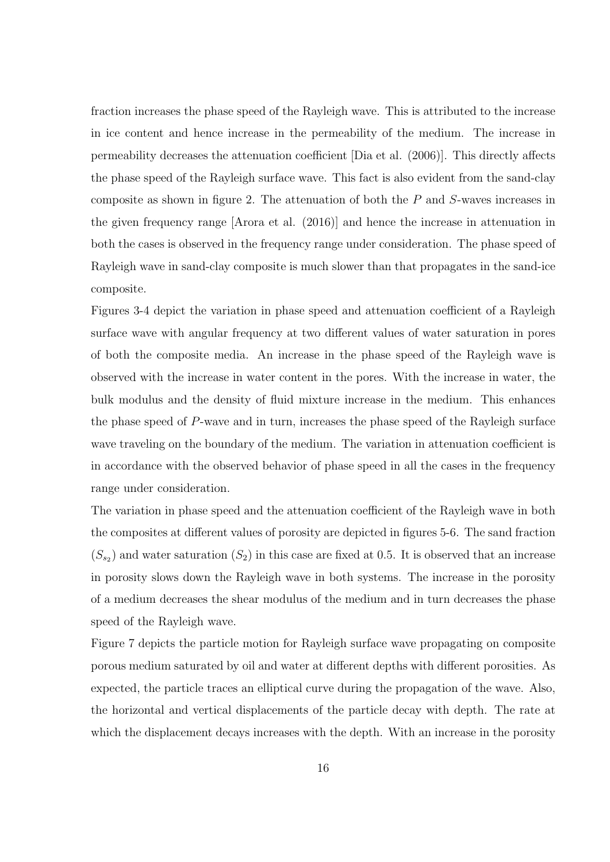fraction increases the phase speed of the Rayleigh wave. This is attributed to the increase in ice content and hence increase in the permeability of the medium. The increase in permeability decreases the attenuation coefficient [Dia et al. (2006)]. This directly affects the phase speed of the Rayleigh surface wave. This fact is also evident from the sand-clay composite as shown in figure 2. The attenuation of both the P and S-waves increases in the given frequency range [Arora et al. (2016)] and hence the increase in attenuation in both the cases is observed in the frequency range under consideration. The phase speed of Rayleigh wave in sand-clay composite is much slower than that propagates in the sand-ice composite.

Figures 3-4 depict the variation in phase speed and attenuation coefficient of a Rayleigh surface wave with angular frequency at two different values of water saturation in pores of both the composite media. An increase in the phase speed of the Rayleigh wave is observed with the increase in water content in the pores. With the increase in water, the bulk modulus and the density of fluid mixture increase in the medium. This enhances the phase speed of P-wave and in turn, increases the phase speed of the Rayleigh surface wave traveling on the boundary of the medium. The variation in attenuation coefficient is in accordance with the observed behavior of phase speed in all the cases in the frequency range under consideration.

The variation in phase speed and the attenuation coefficient of the Rayleigh wave in both the composites at different values of porosity are depicted in figures 5-6. The sand fraction  $(S_{s_2})$  and water saturation  $(S_2)$  in this case are fixed at 0.5. It is observed that an increase in porosity slows down the Rayleigh wave in both systems. The increase in the porosity of a medium decreases the shear modulus of the medium and in turn decreases the phase speed of the Rayleigh wave.

Figure 7 depicts the particle motion for Rayleigh surface wave propagating on composite porous medium saturated by oil and water at different depths with different porosities. As expected, the particle traces an elliptical curve during the propagation of the wave. Also, the horizontal and vertical displacements of the particle decay with depth. The rate at which the displacement decays increases with the depth. With an increase in the porosity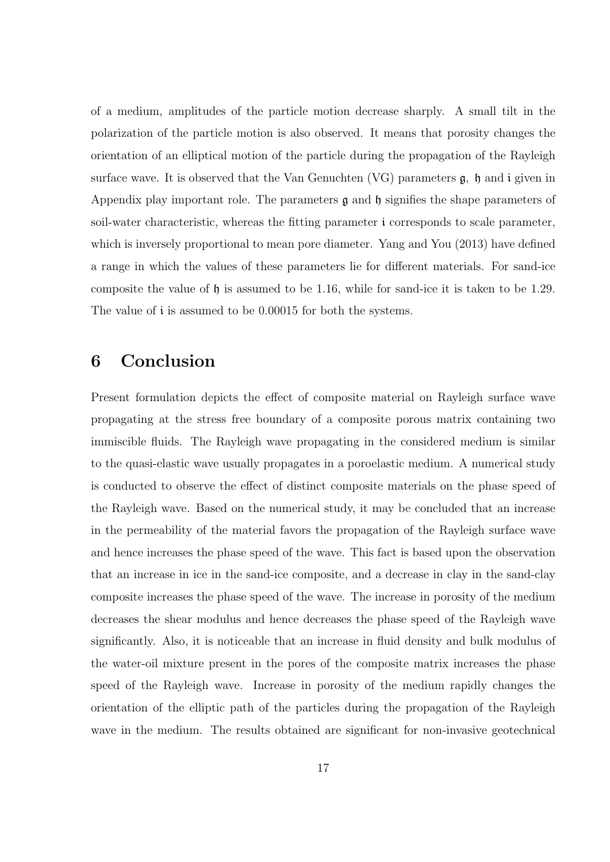of a medium, amplitudes of the particle motion decrease sharply. A small tilt in the polarization of the particle motion is also observed. It means that porosity changes the orientation of an elliptical motion of the particle during the propagation of the Rayleigh surface wave. It is observed that the Van Genuchten  $(VG)$  parameters  $\mathfrak{g}$ ,  $\mathfrak{h}$  and i given in Appendix play important role. The parameters  $\mathfrak g$  and  $\mathfrak h$  signifies the shape parameters of soil-water characteristic, whereas the fitting parameter i corresponds to scale parameter, which is inversely proportional to mean pore diameter. Yang and You (2013) have defined a range in which the values of these parameters lie for different materials. For sand-ice composite the value of  $\mathfrak h$  is assumed to be 1.16, while for sand-ice it is taken to be 1.29. The value of i is assumed to be 0.00015 for both the systems.

### 6 Conclusion

Present formulation depicts the effect of composite material on Rayleigh surface wave propagating at the stress free boundary of a composite porous matrix containing two immiscible fluids. The Rayleigh wave propagating in the considered medium is similar to the quasi-elastic wave usually propagates in a poroelastic medium. A numerical study is conducted to observe the effect of distinct composite materials on the phase speed of the Rayleigh wave. Based on the numerical study, it may be concluded that an increase in the permeability of the material favors the propagation of the Rayleigh surface wave and hence increases the phase speed of the wave. This fact is based upon the observation that an increase in ice in the sand-ice composite, and a decrease in clay in the sand-clay composite increases the phase speed of the wave. The increase in porosity of the medium decreases the shear modulus and hence decreases the phase speed of the Rayleigh wave significantly. Also, it is noticeable that an increase in fluid density and bulk modulus of the water-oil mixture present in the pores of the composite matrix increases the phase speed of the Rayleigh wave. Increase in porosity of the medium rapidly changes the orientation of the elliptic path of the particles during the propagation of the Rayleigh wave in the medium. The results obtained are significant for non-invasive geotechnical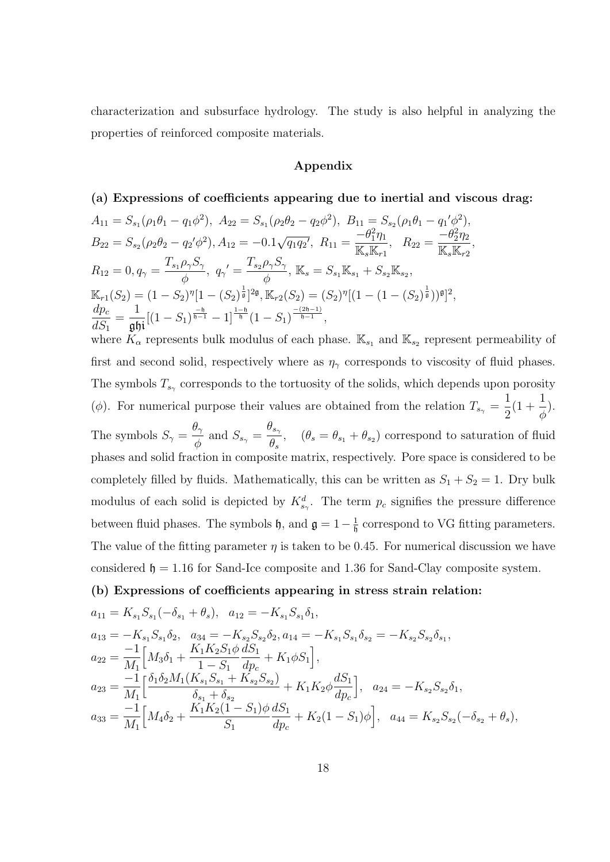characterization and subsurface hydrology. The study is also helpful in analyzing the properties of reinforced composite materials.

#### Appendix

(a) Expressions of coefficients appearing due to inertial and viscous drag:  $A_{11} = S_{s_1}(\rho_1 \theta_1 - q_1 \phi^2), \ A_{22} = S_{s_1}(\rho_2 \theta_2 - q_2 \phi^2), \ B_{11} = S_{s_2}(\rho_1 \theta_1 - q_1' \phi^2),$  $B_{22} = S_{s_2} (\rho_2 \theta_2 - q_2' \phi^2), A_{12} = -0.1$ √  $\overline{q_{1}q_{2}}, R_{11} =$  $-\theta_1^2\eta_1$  $\frac{\mathbb{C}[\cdot]'}{\mathbb{K}_s\mathbb{K}_{r1}},\quad R_{22}=$  $-\theta_2^2\eta_2$  $\frac{c_2r_2}{\mathbb{K}_s\mathbb{K}_{r2}},$  $R_{12}=0, q_{\gamma}=\frac{T_{s_1}\rho_{\gamma}S_{\gamma}}{4},\; q_{\gamma}^{\prime}=\frac{T_{s_2}\rho_{\gamma}S_{\gamma}}{4},\, \mathbb{K}_{s}=S_{s_1}\mathbb{K}_{s_1}+S_{s_2}\mathbb{K}_{s_2},$  $\phi$  ,  $\phi$  ,  $\phi$  $\mathbb{K}_{r1}(S_2) = (1 - S_2)^{\eta} [1 - (S_2)^{\frac{1}{\mathfrak{g}}} ]^{2\mathfrak{g}}, \mathbb{K}_{r2}(S_2) = (S_2)^{\eta} [(1 - (1 - (S_2)^{\frac{1}{\mathfrak{g}}}))^{\mathfrak{g}} ]^2,$  $dp_c$  $dS_1$ =  $\frac{1}{\mathfrak{g}\mathfrak{h} \mathfrak{i}}[(1-S_1)^{\frac{-\mathfrak{h}}{\mathfrak{h}-1}}-1]^{\frac{1-\mathfrak{h}}{\mathfrak{h}}}(1-S_1)^{\frac{-(2\mathfrak{h}-1)}{\mathfrak{h}-1}},$ where  $K_{\alpha}$  represents bulk modulus of each phase.  $\mathbb{K}_{s_1}$  and  $\mathbb{K}_{s_2}$  represent permeability of first and second solid, respectively where as  $\eta_{\gamma}$  corresponds to viscosity of fluid phases. The symbols  $T_{s_\gamma}$  corresponds to the tortuosity of the solids, which depends upon porosity ( $\phi$ ). For numerical purpose their values are obtained from the relation  $T_{s_{\gamma}} =$ 1 2  $(1 + \frac{1}{4})$ φ ). The symbols  $S_{\gamma} =$  $\theta_\gamma$  $\frac{\partial \gamma}{\phi}$  and  $S_{s_{\gamma}} =$  $\theta_{s_\gamma}$  $\frac{\partial s_{\gamma}}{\partial s}$ ,  $(\theta_s = \theta_{s_1} + \theta_{s_2})$  correspond to saturation of fluid phases and solid fraction in composite matrix, respectively. Pore space is considered to be completely filled by fluids. Mathematically, this can be written as  $S_1 + S_2 = 1$ . Dry bulk modulus of each solid is depicted by  $K_{s_{\gamma}}^d$ . The term  $p_c$  signifies the pressure difference between fluid phases. The symbols  $\mathfrak{h}$ , and  $\mathfrak{g} = 1 - \frac{1}{\mathfrak{h}}$  $\frac{1}{\mathfrak{h}}$  correspond to VG fitting parameters. The value of the fitting parameter  $\eta$  is taken to be 0.45. For numerical discussion we have considered  $\mathfrak{h} = 1.16$  for Sand-Ice composite and 1.36 for Sand-Clay composite system.

#### (b) Expressions of coefficients appearing in stress strain relation:

$$
a_{11} = K_{s_1} S_{s_1}(-\delta_{s_1} + \theta_s), \quad a_{12} = -K_{s_1} S_{s_1} \delta_1,
$$
  
\n
$$
a_{13} = -K_{s_1} S_{s_1} \delta_2, \quad a_{34} = -K_{s_2} S_{s_2} \delta_2, a_{14} = -K_{s_1} S_{s_1} \delta_{s_2} = -K_{s_2} S_{s_2} \delta_{s_1},
$$
  
\n
$$
a_{22} = \frac{-1}{M_1} \Big[ M_3 \delta_1 + \frac{K_1 K_2 S_1 \phi}{1 - S_1} \frac{dS_1}{dp_c} + K_1 \phi S_1 \Big],
$$
  
\n
$$
a_{23} = \frac{-1}{M_1} \Big[ \frac{\delta_1 \delta_2 M_1 (K_{s_1} S_{s_1} + K_{s_2} S_{s_2})}{\delta_{s_1} + \delta_{s_2}} + K_1 K_2 \phi \frac{dS_1}{dp_c} \Big], \quad a_{24} = -K_{s_2} S_{s_2} \delta_1,
$$
  
\n
$$
a_{33} = \frac{-1}{M_1} \Big[ M_4 \delta_2 + \frac{K_1 K_2 (1 - S_1) \phi}{S_1} \frac{dS_1}{dp_c} + K_2 (1 - S_1) \phi \Big], \quad a_{44} = K_{s_2} S_{s_2}(-\delta_{s_2} + \theta_s),
$$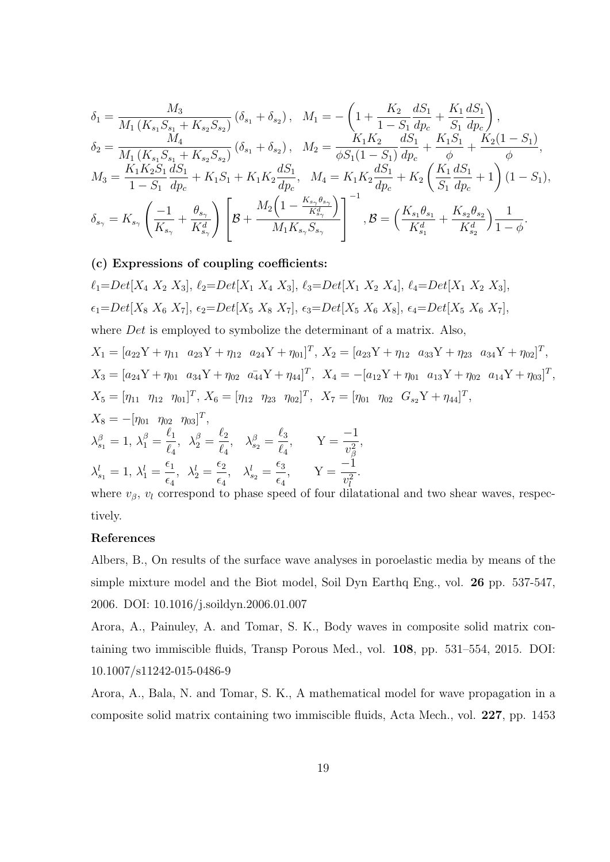$$
\delta_{1} = \frac{M_{3}}{M_{1} (K_{s_{1}} S_{s_{1}} + K_{s_{2}} S_{s_{2}})} (\delta_{s_{1}} + \delta_{s_{2}}), \quad M_{1} = -\left(1 + \frac{K_{2}}{1 - S_{1}} \frac{dS_{1}}{dp_{c}} + \frac{K_{1}}{S_{1}} \frac{dS_{1}}{dp_{c}}\right),
$$
\n
$$
\delta_{2} = \frac{M_{1} (K_{s_{1}} S_{s_{1}} + K_{s_{2}} S_{s_{2}})}{M_{1} (K_{s_{1}} S_{s_{1}} + K_{s_{2}} S_{s_{2}})} (\delta_{s_{1}} + \delta_{s_{2}}), \quad M_{2} = \frac{K_{1} K_{2}}{\phi S_{1} (1 - S_{1})} \frac{dS_{1}}{dp_{c}} + \frac{K_{1} S_{1}}{\phi} + \frac{K_{2} (1 - S_{1})}{\phi},
$$
\n
$$
M_{3} = \frac{K_{1} K_{2} S_{1}}{1 - S_{1}} \frac{dS_{1}}{dp_{c}} + K_{1} S_{1} + K_{1} K_{2} \frac{dS_{1}}{dp_{c}}, \quad M_{4} = K_{1} K_{2} \frac{dS_{1}}{dp_{c}} + K_{2} \left(\frac{K_{1}}{S_{1}} \frac{dS_{1}}{dp_{c}} + 1\right) (1 - S_{1}),
$$
\n
$$
\delta_{s_{\gamma}} = K_{s_{\gamma}} \left(\frac{-1}{K_{s_{\gamma}}} + \frac{\theta_{s_{\gamma}}}{K_{s_{\gamma}}^{d}}\right) \left[\mathcal{B} + \frac{M_{2} \left(1 - \frac{K_{s_{\gamma}} \theta_{s_{\gamma}}}{K_{s_{\gamma}}^{d}}\right)}{M_{1} K_{s_{\gamma}} S_{s_{\gamma}}}\right]^{-1}, \mathcal{B} = \left(\frac{K_{s_{1}} \theta_{s_{1}}}{K_{s_{1}}^{d}} + \frac{K_{s_{2}} \theta_{s_{2}}}{K_{s_{2}}^{d}}\right) \frac{1}{1 - \phi}.
$$

#### (c) Expressions of coupling coefficients:

$$
\ell_1 = Det[X_4 \ X_2 \ X_3], \ \ell_2 = Det[X_1 \ X_4 \ X_3], \ \ell_3 = Det[X_1 \ X_2 \ X_4], \ \ell_4 = Det[X_1 \ X_2 \ X_3],
$$
\n
$$
\epsilon_1 = Det[X_8 \ X_6 \ X_7], \ \epsilon_2 = Det[X_5 \ X_8 \ X_7], \ \epsilon_3 = Det[X_5 \ X_6 \ X_8], \ \epsilon_4 = Det[X_5 \ X_6 \ X_7],
$$
\nwhere *Det* is employed to symbolic the determinant of a matrix. Also,  
\n
$$
X_1 = [a_{22}Y + \eta_{11} \ a_{23}Y + \eta_{12} \ a_{24}Y + \eta_{01}]^T, \ X_2 = [a_{23}Y + \eta_{12} \ a_{33}Y + \eta_{23} \ a_{34}Y + \eta_{02}]^T,
$$
\n
$$
X_3 = [a_{24}Y + \eta_{01} \ a_{34}Y + \eta_{02} \ a_{44}Y + \eta_{44}]^T, \ X_4 = -[a_{12}Y + \eta_{01} \ a_{13}Y + \eta_{02} \ a_{14}Y + \eta_{03}]^T,
$$
\n
$$
X_5 = [\eta_{11} \ \eta_{12} \ \eta_{01}]^T, \ X_6 = [\eta_{12} \ \eta_{23} \ \eta_{02}]^T, \ X_7 = [\eta_{01} \ \eta_{02} \ G_{s_2}Y + \eta_{44}]^T,
$$
\n
$$
X_8 = -[\eta_{01} \ \eta_{02} \ \eta_{03}]^T,
$$
\n
$$
\lambda_{s_1}^{\beta} = 1, \ \lambda_1^{\beta} = \frac{\ell_1}{\ell_4}, \ \lambda_2^{\beta} = \frac{\ell_2}{\ell_4}, \ \lambda_{s_2}^{\beta} = \frac{\ell_3}{\ell_4}, \quad Y = \frac{-1}{v_{\beta}^2},
$$
\n
$$
\lambda_{s_1}^l = 1, \ \lambda_1^l = \frac{\epsilon_1}{\epsilon_4}, \ \lambda_2^l = \frac{\epsilon_2}{\epsilon_4}, \ \lambda_{s_2}^l = \frac{\epsilon_3}{\epsilon_4}, \quad Y = \frac{-1}{v_{\ell}^2}.
$$
\nwhere  $v_{\beta}$ 

tively.

#### References

Albers, B., On results of the surface wave analyses in poroelastic media by means of the simple mixture model and the Biot model, Soil Dyn Earthq Eng., vol. 26 pp. 537-547, 2006. DOI: 10.1016/j.soildyn.2006.01.007

Arora, A., Painuley, A. and Tomar, S. K., Body waves in composite solid matrix containing two immiscible fluids, Transp Porous Med., vol. 108, pp. 531–554, 2015. DOI: 10.1007/s11242-015-0486-9

Arora, A., Bala, N. and Tomar, S. K., A mathematical model for wave propagation in a composite solid matrix containing two immiscible fluids, Acta Mech., vol. 227, pp. 1453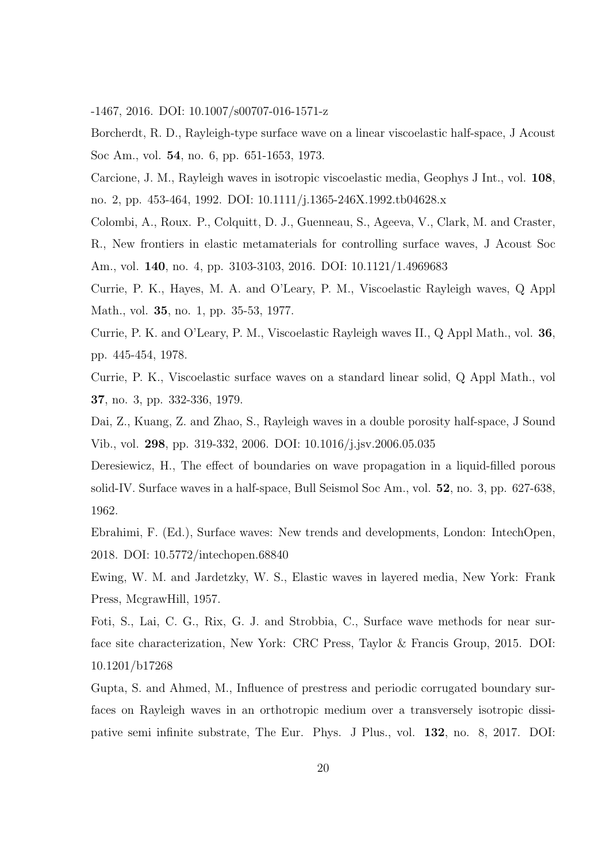-1467, 2016. DOI: 10.1007/s00707-016-1571-z

Borcherdt, R. D., Rayleigh-type surface wave on a linear viscoelastic half-space, J Acoust Soc Am., vol. 54, no. 6, pp. 651-1653, 1973.

Carcione, J. M., Rayleigh waves in isotropic viscoelastic media, Geophys J Int., vol. 108, no. 2, pp. 453-464, 1992. DOI: 10.1111/j.1365-246X.1992.tb04628.x

Colombi, A., Roux. P., Colquitt, D. J., Guenneau, S., Ageeva, V., Clark, M. and Craster, R., New frontiers in elastic metamaterials for controlling surface waves, J Acoust Soc

Am., vol. 140, no. 4, pp. 3103-3103, 2016. DOI: 10.1121/1.4969683

Currie, P. K., Hayes, M. A. and O'Leary, P. M., Viscoelastic Rayleigh waves, Q Appl Math., vol. 35, no. 1, pp. 35-53, 1977.

Currie, P. K. and O'Leary, P. M., Viscoelastic Rayleigh waves II., Q Appl Math., vol. 36, pp. 445-454, 1978.

Currie, P. K., Viscoelastic surface waves on a standard linear solid, Q Appl Math., vol 37, no. 3, pp. 332-336, 1979.

Dai, Z., Kuang, Z. and Zhao, S., Rayleigh waves in a double porosity half-space, J Sound Vib., vol. 298, pp. 319-332, 2006. DOI: 10.1016/j.jsv.2006.05.035

Deresiewicz, H., The effect of boundaries on wave propagation in a liquid-filled porous solid-IV. Surface waves in a half-space, Bull Seismol Soc Am., vol. 52, no. 3, pp. 627-638, 1962.

Ebrahimi, F. (Ed.), Surface waves: New trends and developments, London: IntechOpen, 2018. DOI: 10.5772/intechopen.68840

Ewing, W. M. and Jardetzky, W. S., Elastic waves in layered media, New York: Frank Press, McgrawHill, 1957.

Foti, S., Lai, C. G., Rix, G. J. and Strobbia, C., Surface wave methods for near surface site characterization, New York: CRC Press, Taylor & Francis Group, 2015. DOI: 10.1201/b17268

Gupta, S. and Ahmed, M., Influence of prestress and periodic corrugated boundary surfaces on Rayleigh waves in an orthotropic medium over a transversely isotropic dissipative semi infinite substrate, The Eur. Phys. J Plus., vol. 132, no. 8, 2017. DOI: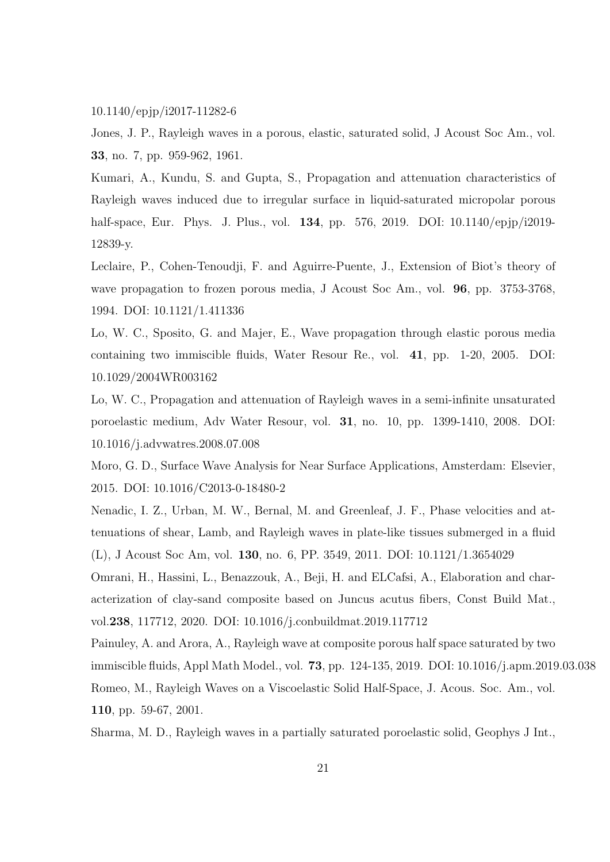#### 10.1140/epjp/i2017-11282-6

Jones, J. P., Rayleigh waves in a porous, elastic, saturated solid, J Acoust Soc Am., vol. 33, no. 7, pp. 959-962, 1961.

Kumari, A., Kundu, S. and Gupta, S., Propagation and attenuation characteristics of Rayleigh waves induced due to irregular surface in liquid-saturated micropolar porous half-space, Eur. Phys. J. Plus., vol. **134**, pp. 576, 2019. DOI: 10.1140/epjp/i2019-12839-y.

Leclaire, P., Cohen-Tenoudji, F. and Aguirre-Puente, J., Extension of Biot's theory of wave propagation to frozen porous media, J Acoust Soc Am., vol. **96**, pp. 3753-3768, 1994. DOI: 10.1121/1.411336

Lo, W. C., Sposito, G. and Majer, E., Wave propagation through elastic porous media containing two immiscible fluids, Water Resour Re., vol. 41, pp. 1-20, 2005. DOI: 10.1029/2004WR003162

Lo, W. C., Propagation and attenuation of Rayleigh waves in a semi-infinite unsaturated poroelastic medium, Adv Water Resour, vol. 31, no. 10, pp. 1399-1410, 2008. DOI: 10.1016/j.advwatres.2008.07.008

Moro, G. D., Surface Wave Analysis for Near Surface Applications, Amsterdam: Elsevier, 2015. DOI: 10.1016/C2013-0-18480-2

Nenadic, I. Z., Urban, M. W., Bernal, M. and Greenleaf, J. F., Phase velocities and attenuations of shear, Lamb, and Rayleigh waves in plate-like tissues submerged in a fluid (L), J Acoust Soc Am, vol. 130, no. 6, PP. 3549, 2011. DOI: 10.1121/1.3654029

Omrani, H., Hassini, L., Benazzouk, A., Beji, H. and ELCafsi, A., Elaboration and characterization of clay-sand composite based on Juncus acutus fibers, Const Build Mat., vol.238, 117712, 2020. DOI: 10.1016/j.conbuildmat.2019.117712

Painuley, A. and Arora, A., Rayleigh wave at composite porous half space saturated by two immiscible fluids, Appl Math Model., vol. 73, pp. 124-135, 2019. DOI: 10.1016/j.apm.2019.03.038 Romeo, M., Rayleigh Waves on a Viscoelastic Solid Half-Space, J. Acous. Soc. Am., vol. 110, pp. 59-67, 2001.

Sharma, M. D., Rayleigh waves in a partially saturated poroelastic solid, Geophys J Int.,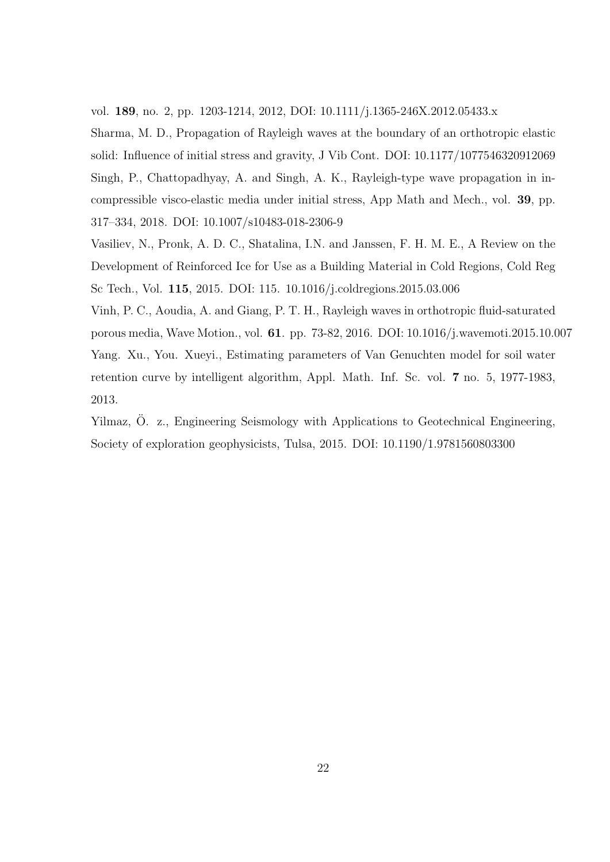vol. 189, no. 2, pp. 1203-1214, 2012, DOI: 10.1111/j.1365-246X.2012.05433.x

Sharma, M. D., Propagation of Rayleigh waves at the boundary of an orthotropic elastic solid: Influence of initial stress and gravity, J Vib Cont. DOI: 10.1177/1077546320912069 Singh, P., Chattopadhyay, A. and Singh, A. K., Rayleigh-type wave propagation in incompressible visco-elastic media under initial stress, App Math and Mech., vol. 39, pp. 317–334, 2018. DOI: 10.1007/s10483-018-2306-9

Vasiliev, N., Pronk, A. D. C., Shatalina, I.N. and Janssen, F. H. M. E., A Review on the Development of Reinforced Ice for Use as a Building Material in Cold Regions, Cold Reg Sc Tech., Vol. 115, 2015. DOI: 115. 10.1016/j.coldregions.2015.03.006

Vinh, P. C., Aoudia, A. and Giang, P. T. H., Rayleigh waves in orthotropic fluid-saturated porous media, Wave Motion., vol. 61. pp. 73-82, 2016. DOI: 10.1016/j.wavemoti.2015.10.007 Yang. Xu., You. Xueyi., Estimating parameters of Van Genuchten model for soil water retention curve by intelligent algorithm, Appl. Math. Inf. Sc. vol. 7 no. 5, 1977-1983, 2013.

Yilmaz, Ö. z., Engineering Seismology with Applications to Geotechnical Engineering, Society of exploration geophysicists, Tulsa, 2015. DOI: 10.1190/1.9781560803300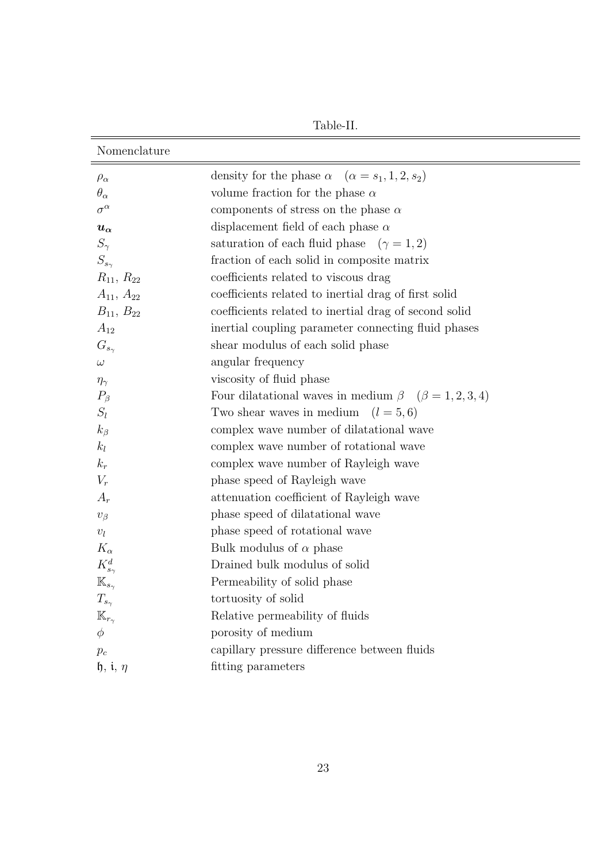Table-II.

| Nomenclature                       |                                                                    |
|------------------------------------|--------------------------------------------------------------------|
| $\rho_{\alpha}$                    | density for the phase $\alpha$ $(\alpha = s_1, 1, 2, s_2)$         |
| $\theta_{\alpha}$                  | volume fraction for the phase $\alpha$                             |
| $\sigma^{\alpha}$                  | components of stress on the phase $\alpha$                         |
| $u_{\alpha}$                       | displacement field of each phase $\alpha$                          |
| $S_{\gamma}$                       | saturation of each fluid phase $(\gamma = 1, 2)$                   |
| $S_{s_{\gamma}}$                   | fraction of each solid in composite matrix                         |
| $R_{11}, R_{22}$                   | coefficients related to viscous drag                               |
| $A_{11}, A_{22}$                   | coefficients related to inertial drag of first solid               |
| $B_{11}, B_{22}$                   | coefficients related to inertial drag of second solid              |
| $A_{12}$                           | inertial coupling parameter connecting fluid phases                |
| $G_{s_{\gamma}}$                   | shear modulus of each solid phase                                  |
| $\omega$                           | angular frequency                                                  |
| $\eta_{\gamma}$                    | viscosity of fluid phase                                           |
| $P_{\beta}$                        | Four dilatational waves in medium $\beta$ ( $\beta = 1, 2, 3, 4$ ) |
| $S_l$                              | Two shear waves in medium<br>$(l = 5, 6)$                          |
| $k_{\beta}$                        | complex wave number of dilatational wave                           |
| $k_l$                              | complex wave number of rotational wave                             |
| $k_r$                              | complex wave number of Rayleigh wave                               |
| $V_r$                              | phase speed of Rayleigh wave                                       |
| $A_r$                              | attenuation coefficient of Rayleigh wave                           |
| $v_{\beta}$                        | phase speed of dilatational wave                                   |
| $\upsilon_l$                       | phase speed of rotational wave                                     |
| $K_{\alpha}$                       | Bulk modulus of $\alpha$ phase                                     |
| $K_{s_{\gamma}}^d$                 | Drained bulk modulus of solid                                      |
| $\mathbb{K}_{s_\gamma}$            | Permeability of solid phase                                        |
| $T_{s_{\gamma}}$                   | tortuosity of solid                                                |
| $\mathbb{K}_{r_{\gamma}}$          | Relative permeability of fluids                                    |
| $\phi$                             | porosity of medium                                                 |
| $p_c$                              | capillary pressure difference between fluids                       |
| $\mathfrak{h}, \mathfrak{i}, \eta$ | fitting parameters                                                 |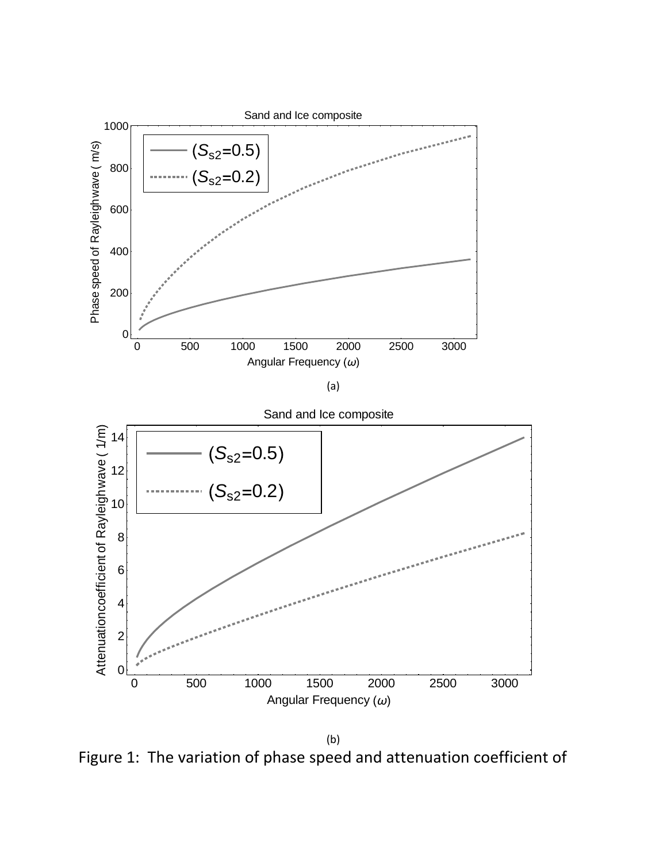

Figure 1: The variation of phase speed and attenuation coefficient of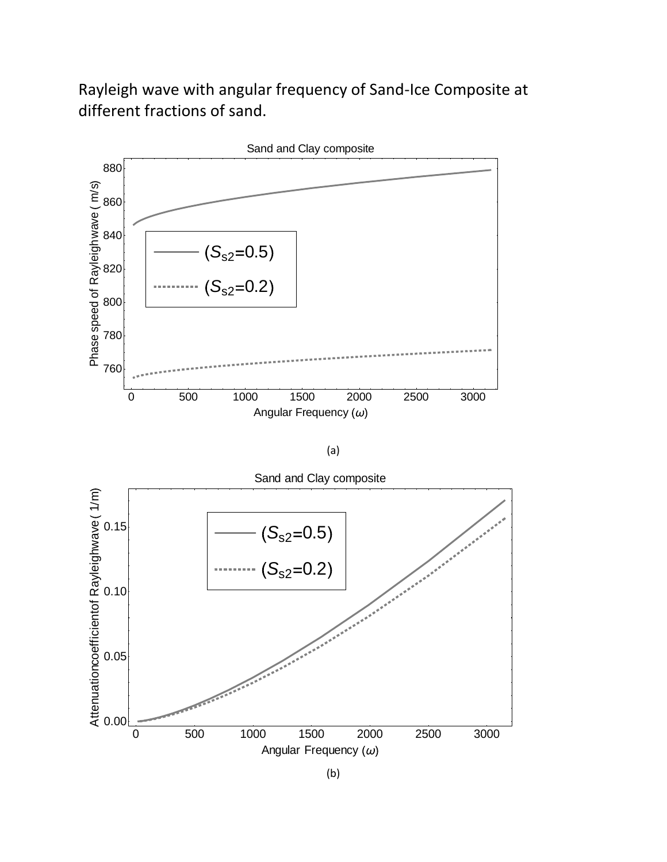Rayleigh wave with angular frequency of Sand-Ice Composite at different fractions of sand.



(a)

0 500 1000 1500 2000 2500 3000 0.00 0.05 0.10 0.15 Angular Frequency  $(\omega)$ Attenuationcoefficientof Rayleighwave 1 m Sand and Clay composite  $S_{s2} = 0.2$  $S_{s2} = 0.5$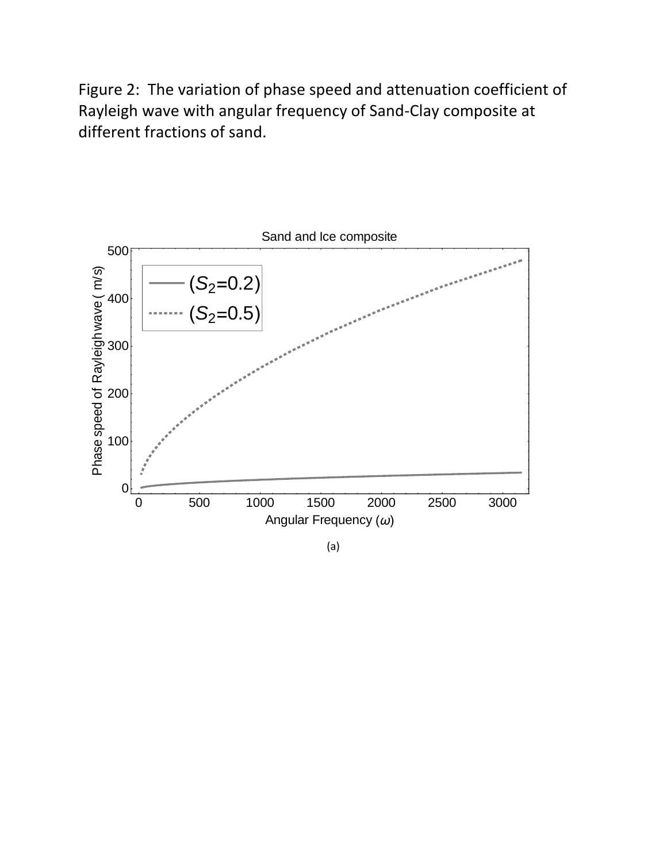Figure 2: The variation of phase speed and attenuation coefficient of Rayleigh wave with angular frequency of Sand-Clay composite at different fractions of sand.



(a)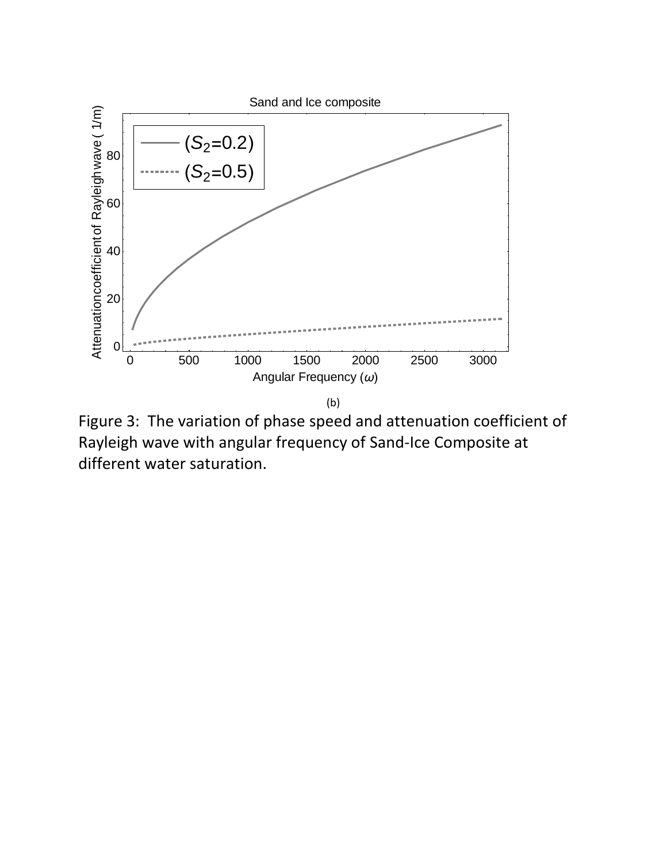

Figure 3: The variation of phase speed and attenuation coefficient of Rayleigh wave with angular frequency of Sand-Ice Composite at different water saturation.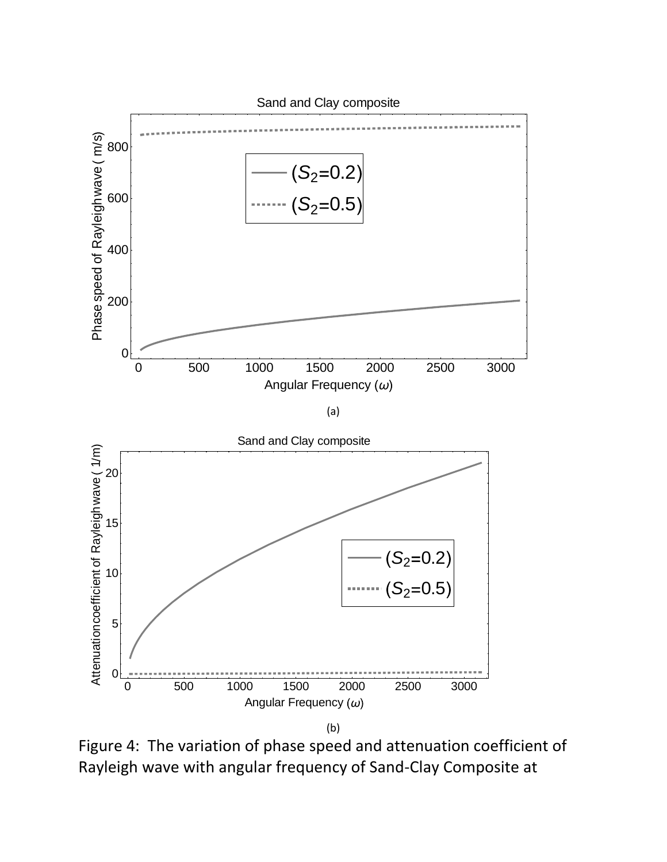

Figure 4: The variation of phase speed and attenuation coefficient of Rayleigh wave with angular frequency of Sand-Clay Composite at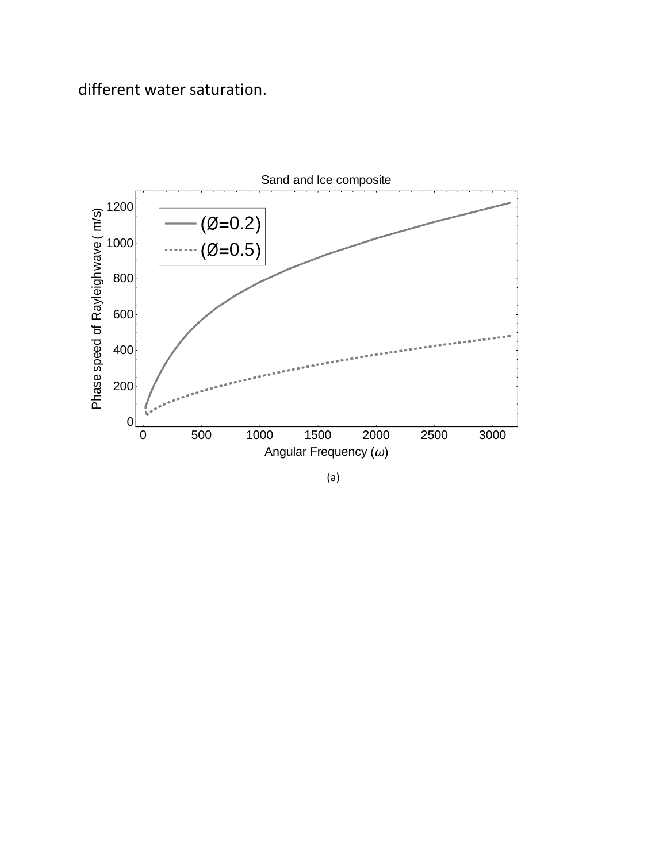## different water saturation.



(a)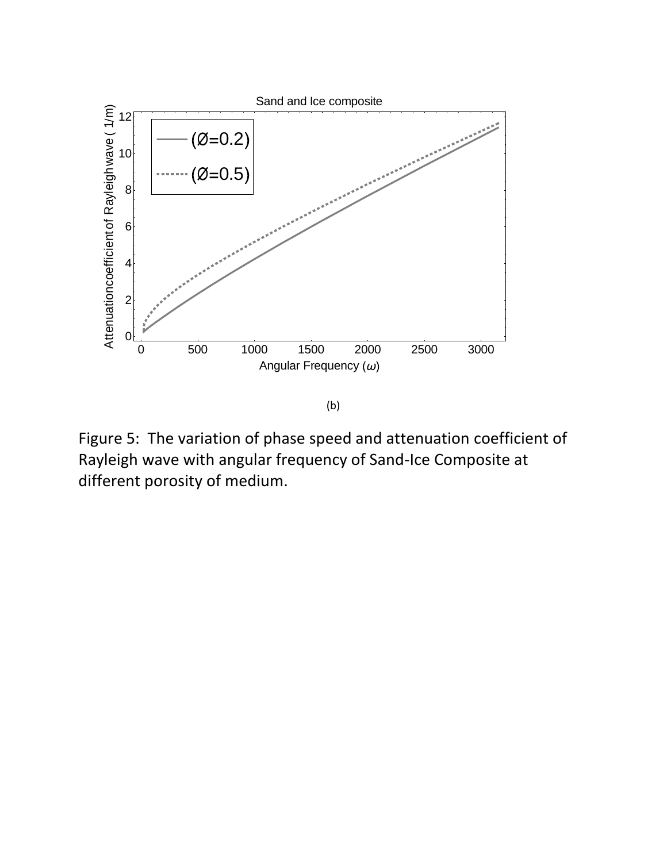

Figure 5: The variation of phase speed and attenuation coefficient of Rayleigh wave with angular frequency of Sand-Ice Composite at different porosity of medium.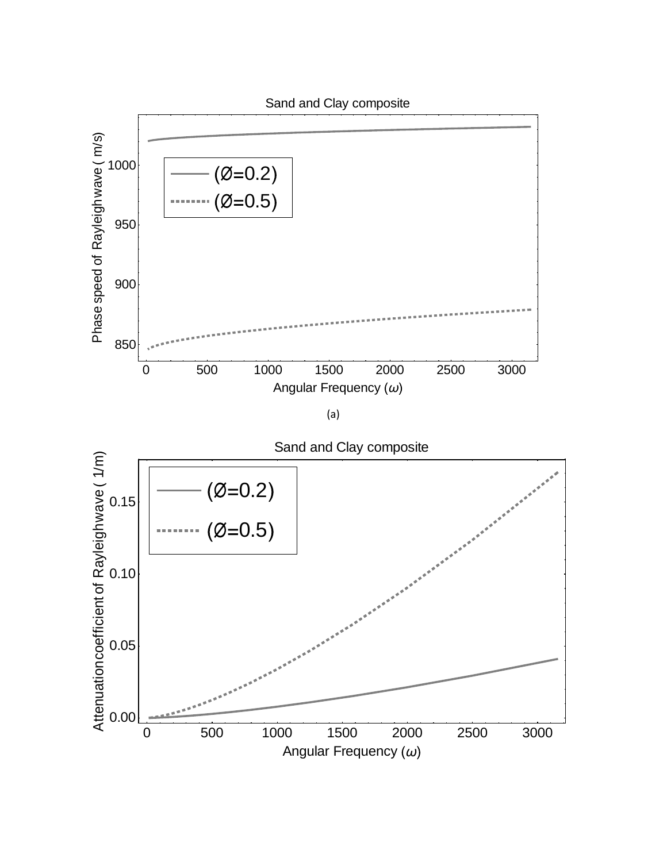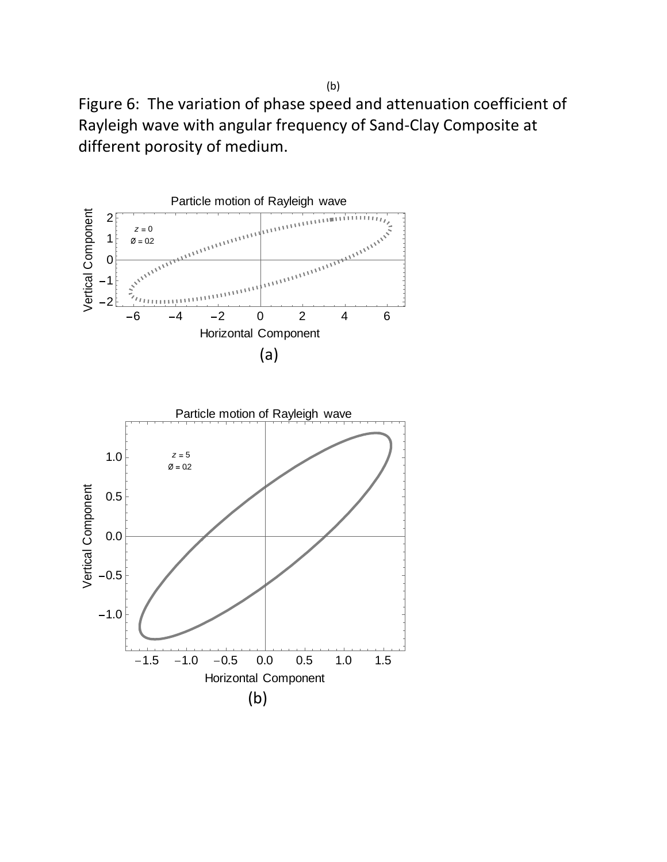Figure 6: The variation of phase speed and attenuation coefficient of Rayleigh wave with angular frequency of Sand-Clay Composite at different porosity of medium.



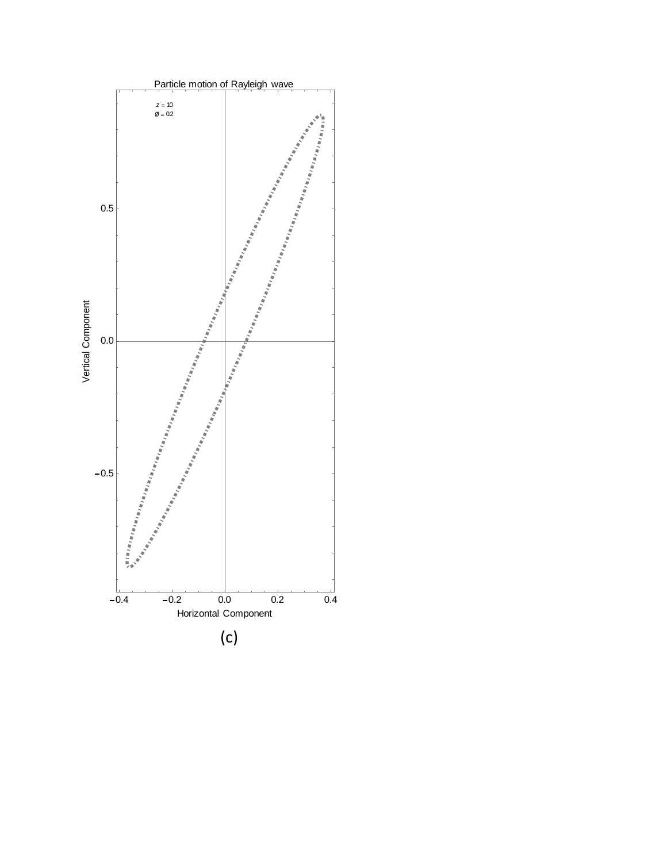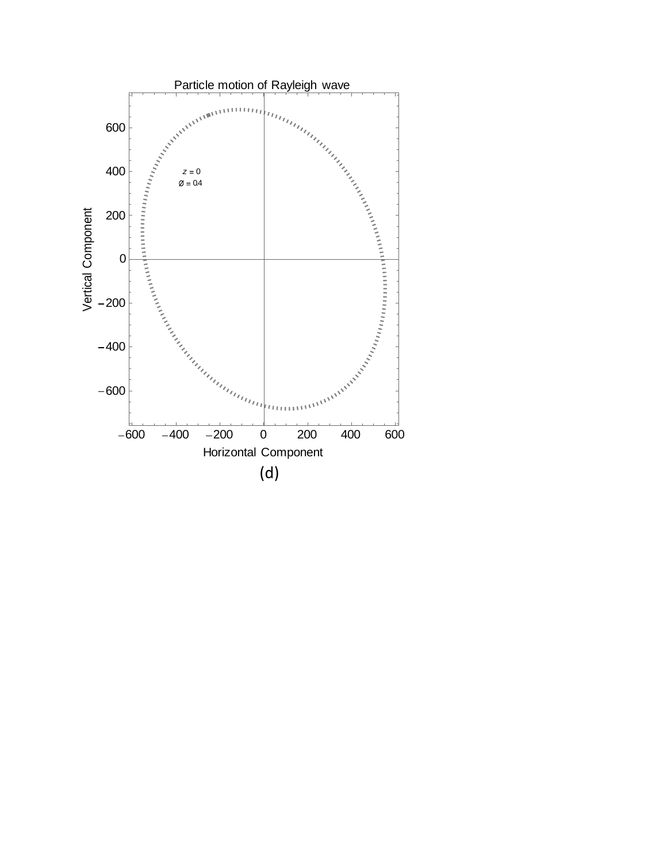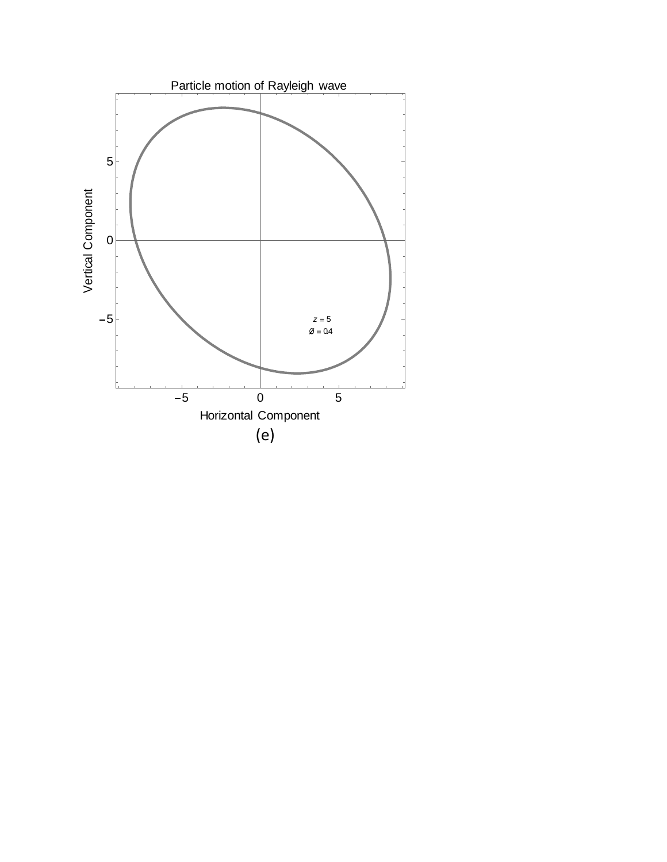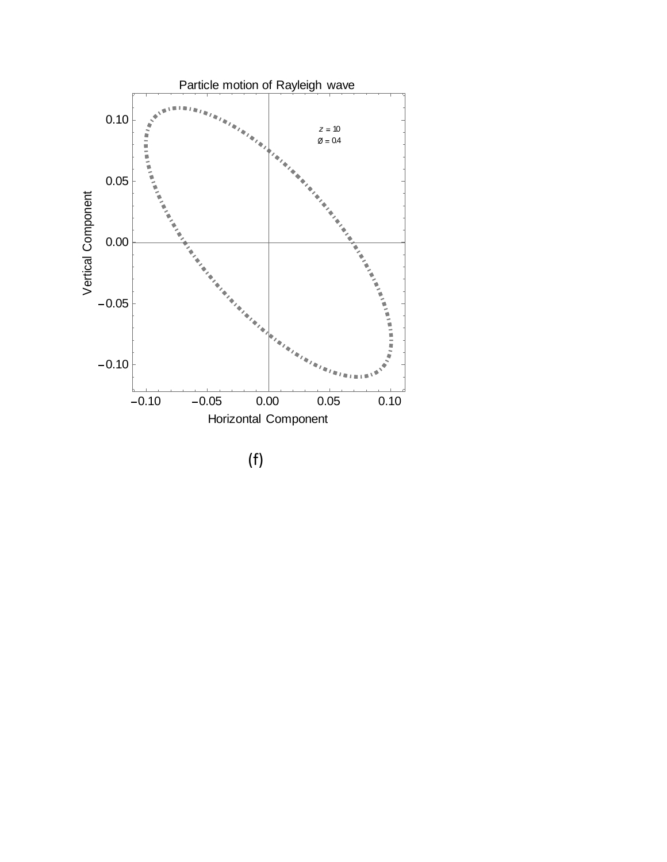

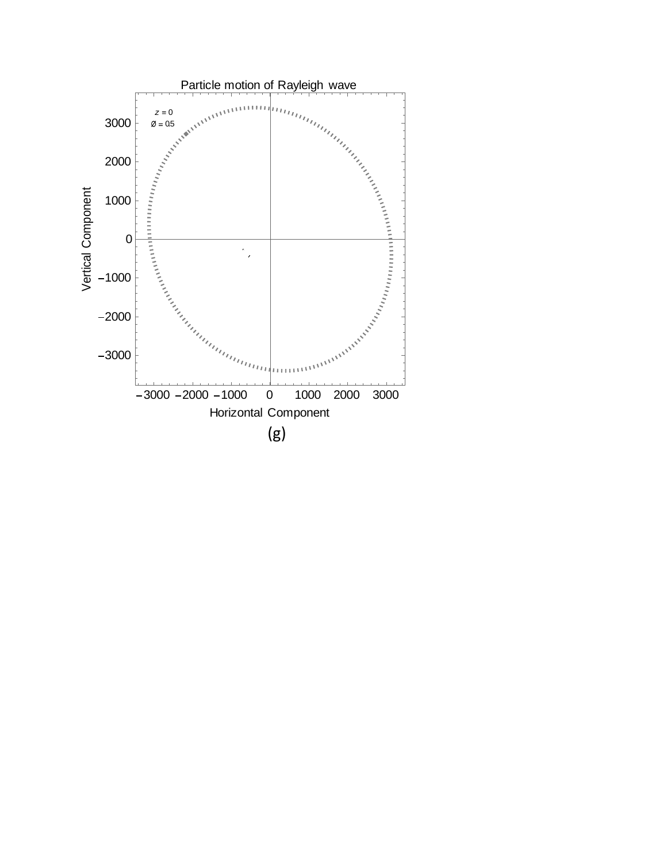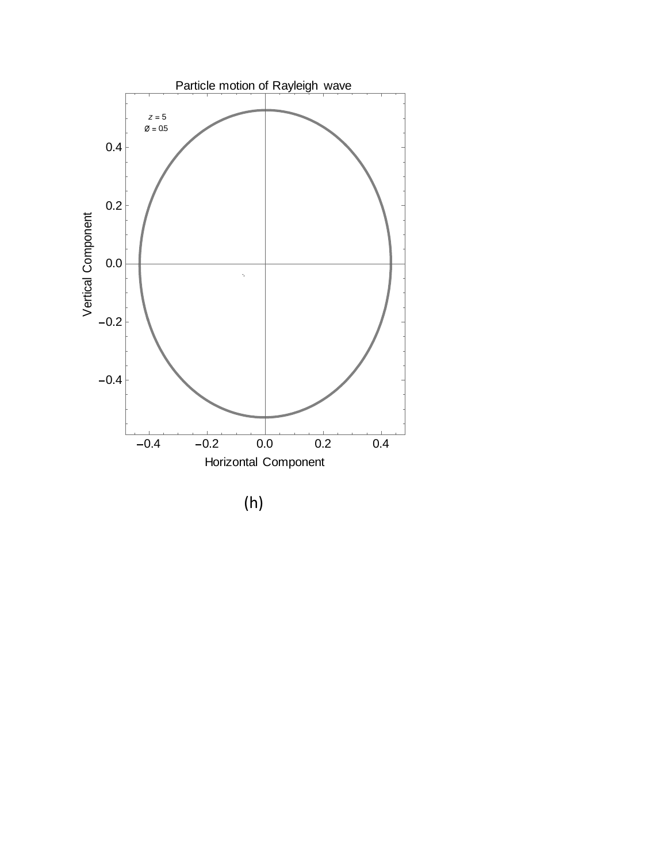